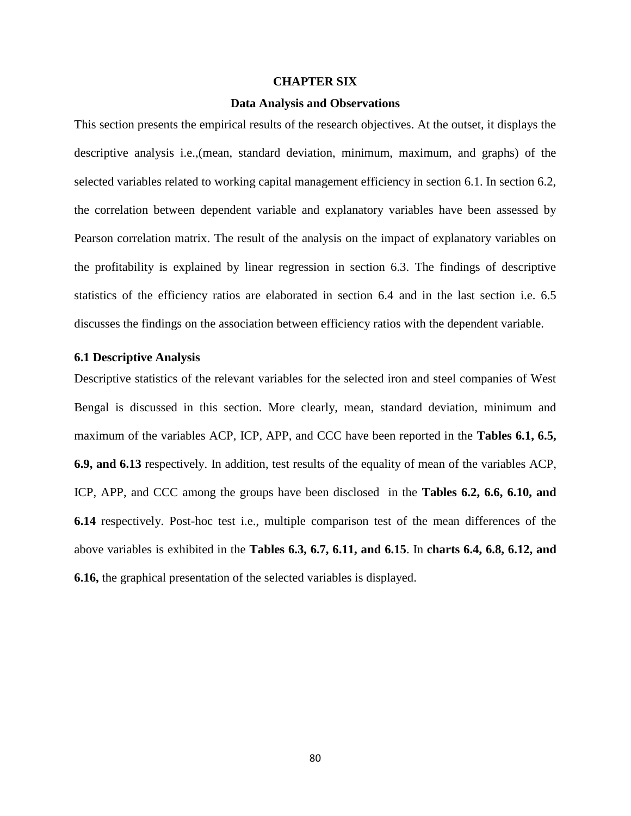#### **CHAPTER SIX**

### **Data Analysis and Observations**

This section presents the empirical results of the research objectives. At the outset, it displays the descriptive analysis i.e.,(mean, standard deviation, minimum, maximum, and graphs) of the selected variables related to working capital management efficiency in section 6.1. In section 6.2, the correlation between dependent variable and explanatory variables have been assessed by Pearson correlation matrix. The result of the analysis on the impact of explanatory variables on the profitability is explained by linear regression in section 6.3. The findings of descriptive statistics of the efficiency ratios are elaborated in section 6.4 and in the last section i.e. 6.5 discusses the findings on the association between efficiency ratios with the dependent variable.

#### **6.1 Descriptive Analysis**

Descriptive statistics of the relevant variables for the selected iron and steel companies of West Bengal is discussed in this section. More clearly, mean, standard deviation, minimum and maximum of the variables ACP, ICP, APP, and CCC have been reported in the **Tables 6.1, 6.5, 6.9, and 6.13** respectively. In addition, test results of the equality of mean of the variables ACP, ICP, APP, and CCC among the groups have been disclosed in the **Tables 6.2, 6.6, 6.10, and 6.14** respectively. Post-hoc test i.e., multiple comparison test of the mean differences of the above variables is exhibited in the **Tables 6.3, 6.7, 6.11, and 6.15**. In **charts 6.4, 6.8, 6.12, and 6.16,** the graphical presentation of the selected variables is displayed.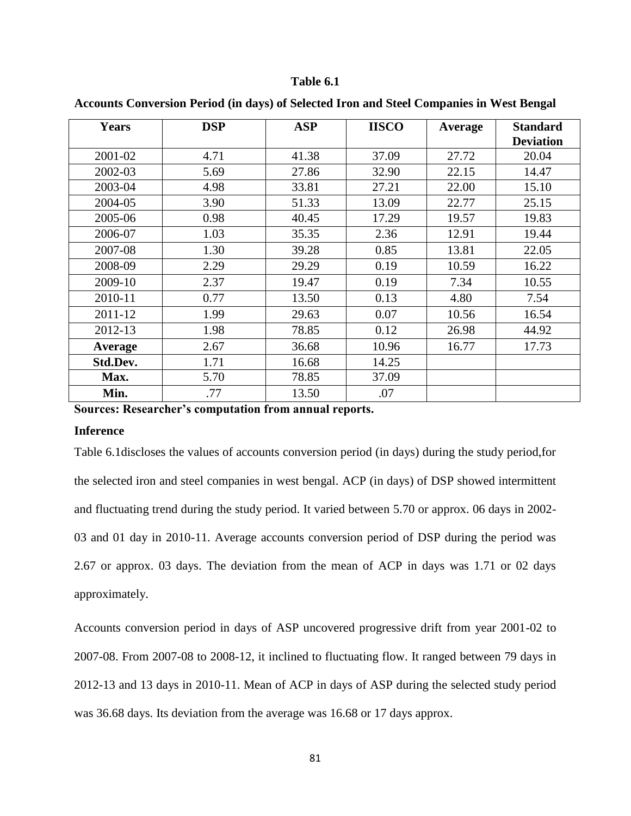| <b>Years</b> | <b>DSP</b> | <b>ASP</b> | <b>IISCO</b> | Average | <b>Standard</b><br><b>Deviation</b> |
|--------------|------------|------------|--------------|---------|-------------------------------------|
| 2001-02      | 4.71       | 41.38      | 37.09        | 27.72   | 20.04                               |
| 2002-03      | 5.69       | 27.86      | 32.90        | 22.15   | 14.47                               |
| 2003-04      | 4.98       | 33.81      | 27.21        | 22.00   | 15.10                               |
| 2004-05      | 3.90       | 51.33      | 13.09        | 22.77   | 25.15                               |
| 2005-06      | 0.98       | 40.45      | 17.29        | 19.57   | 19.83                               |
| 2006-07      | 1.03       | 35.35      | 2.36         | 12.91   | 19.44                               |
| 2007-08      | 1.30       | 39.28      | 0.85         | 13.81   | 22.05                               |
| 2008-09      | 2.29       | 29.29      | 0.19         | 10.59   | 16.22                               |
| 2009-10      | 2.37       | 19.47      | 0.19         | 7.34    | 10.55                               |
| 2010-11      | 0.77       | 13.50      | 0.13         | 4.80    | 7.54                                |
| 2011-12      | 1.99       | 29.63      | 0.07         | 10.56   | 16.54                               |
| 2012-13      | 1.98       | 78.85      | 0.12         | 26.98   | 44.92                               |
| Average      | 2.67       | 36.68      | 10.96        | 16.77   | 17.73                               |
| Std.Dev.     | 1.71       | 16.68      | 14.25        |         |                                     |
| Max.         | 5.70       | 78.85      | 37.09        |         |                                     |
| Min.         | .77        | 13.50      | .07          |         |                                     |

**Accounts Conversion Period (in days) of Selected Iron and Steel Companies in West Bengal**

**Sources: Researcher's computation from annual reports.**

### **Inference**

Table 6.1discloses the values of accounts conversion period (in days) during the study period,for the selected iron and steel companies in west bengal. ACP (in days) of DSP showed intermittent and fluctuating trend during the study period. It varied between 5.70 or approx. 06 days in 2002- 03 and 01 day in 2010-11. Average accounts conversion period of DSP during the period was 2.67 or approx. 03 days. The deviation from the mean of ACP in days was 1.71 or 02 days approximately.

Accounts conversion period in days of ASP uncovered progressive drift from year 2001-02 to 2007-08. From 2007-08 to 2008-12, it inclined to fluctuating flow. It ranged between 79 days in 2012-13 and 13 days in 2010-11. Mean of ACP in days of ASP during the selected study period was 36.68 days. Its deviation from the average was 16.68 or 17 days approx.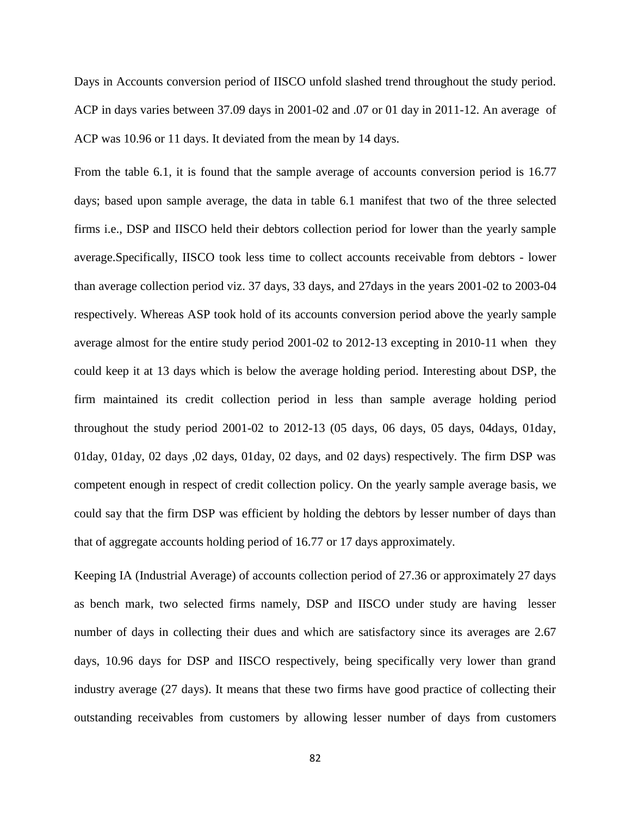Days in Accounts conversion period of IISCO unfold slashed trend throughout the study period. ACP in days varies between 37.09 days in 2001-02 and .07 or 01 day in 2011-12. An average of ACP was 10.96 or 11 days. It deviated from the mean by 14 days.

From the table 6.1, it is found that the sample average of accounts conversion period is 16.77 days; based upon sample average, the data in table 6.1 manifest that two of the three selected firms i.e., DSP and IISCO held their debtors collection period for lower than the yearly sample average.Specifically, IISCO took less time to collect accounts receivable from debtors - lower than average collection period viz. 37 days, 33 days, and 27days in the years 2001-02 to 2003-04 respectively. Whereas ASP took hold of its accounts conversion period above the yearly sample average almost for the entire study period 2001-02 to 2012-13 excepting in 2010-11 when they could keep it at 13 days which is below the average holding period. Interesting about DSP, the firm maintained its credit collection period in less than sample average holding period throughout the study period 2001-02 to 2012-13 (05 days, 06 days, 05 days, 04days, 01day, 01day, 01day, 02 days ,02 days, 01day, 02 days, and 02 days) respectively. The firm DSP was competent enough in respect of credit collection policy. On the yearly sample average basis, we could say that the firm DSP was efficient by holding the debtors by lesser number of days than that of aggregate accounts holding period of 16.77 or 17 days approximately.

Keeping IA (Industrial Average) of accounts collection period of 27.36 or approximately 27 days as bench mark, two selected firms namely, DSP and IISCO under study are having lesser number of days in collecting their dues and which are satisfactory since its averages are 2.67 days, 10.96 days for DSP and IISCO respectively, being specifically very lower than grand industry average (27 days). It means that these two firms have good practice of collecting their outstanding receivables from customers by allowing lesser number of days from customers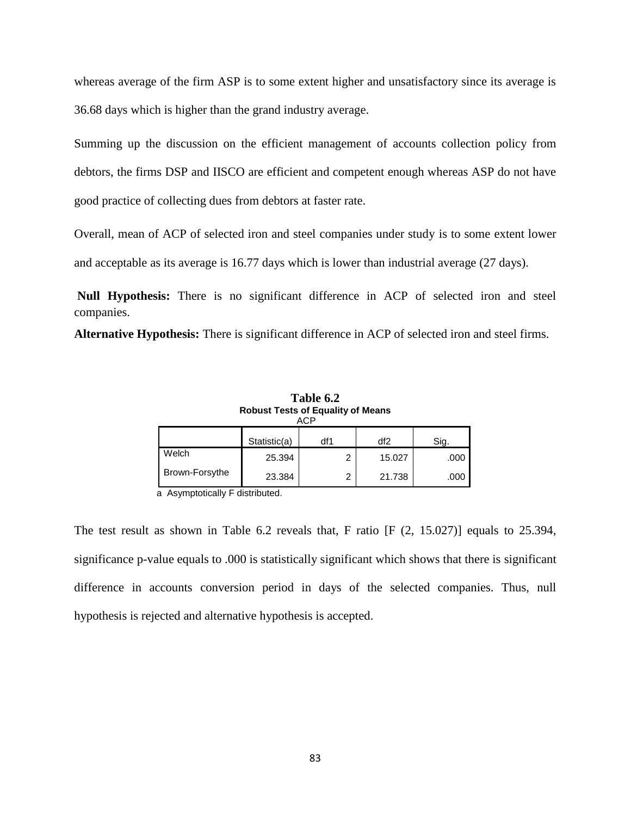whereas average of the firm ASP is to some extent higher and unsatisfactory since its average is 36.68 days which is higher than the grand industry average.

Summing up the discussion on the efficient management of accounts collection policy from debtors, the firms DSP and IISCO are efficient and competent enough whereas ASP do not have good practice of collecting dues from debtors at faster rate.

Overall, mean of ACP of selected iron and steel companies under study is to some extent lower and acceptable as its average is 16.77 days which is lower than industrial average (27 days).

**Null Hypothesis:** There is no significant difference in ACP of selected iron and steel companies.

**Alternative Hypothesis:** There is significant difference in ACP of selected iron and steel firms.

| <b>Robust Tests of Equality of Means</b><br>ACP |              |     |        |      |  |  |
|-------------------------------------------------|--------------|-----|--------|------|--|--|
|                                                 | Statistic(a) | df1 | df2    | Sig. |  |  |
| Welch                                           | 25.394       | 2   | 15.027 | .000 |  |  |
| Brown-Forsythe                                  | 23.384       | 2   | 21.738 | .000 |  |  |

**Table 6.2**

a Asymptotically F distributed.

The test result as shown in Table 6.2 reveals that, F ratio [F (2, 15.027)] equals to 25.394, significance p-value equals to .000 is statistically significant which shows that there is significant difference in accounts conversion period in days of the selected companies. Thus, null hypothesis is rejected and alternative hypothesis is accepted.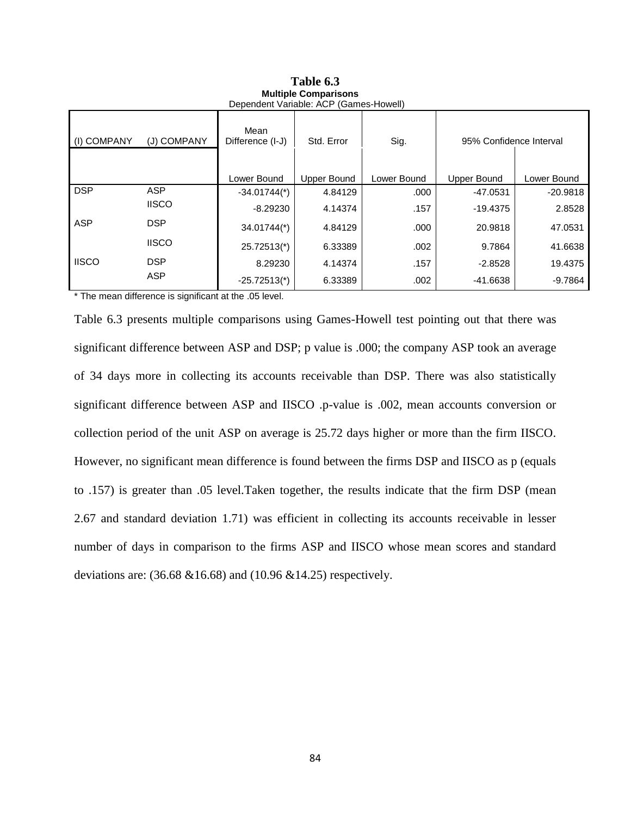| Dependent Variable: ACP (Games-Howell) |              |                            |             |             |                         |             |  |
|----------------------------------------|--------------|----------------------------|-------------|-------------|-------------------------|-------------|--|
| (I) COMPANY                            | (J) COMPANY  | Mean<br>Difference (I-J)   | Std. Error  | Sig.        | 95% Confidence Interval |             |  |
|                                        |              | Lower Bound                | Upper Bound | Lower Bound | <b>Upper Bound</b>      | Lower Bound |  |
| <b>DSP</b>                             | <b>ASP</b>   | $-34.01744$ <sup>*</sup> ) | 4.84129     | .000        | $-47.0531$              | $-20.9818$  |  |
|                                        | <b>IISCO</b> | $-8.29230$                 | 4.14374     | .157        | $-19.4375$              | 2.8528      |  |
| <b>ASP</b>                             | <b>DSP</b>   | $34.01744$ <sup>*</sup> )  | 4.84129     | .000        | 20.9818                 | 47.0531     |  |
|                                        | <b>IISCO</b> | 25.72513(*)                | 6.33389     | .002        | 9.7864                  | 41.6638     |  |
| <b>IISCO</b>                           | <b>DSP</b>   | 8.29230                    | 4.14374     | .157        | $-2.8528$               | 19.4375     |  |
|                                        | <b>ASP</b>   | $-25.72513$ <sup>*</sup> ) | 6.33389     | .002        | $-41.6638$              | $-9.7864$   |  |

**Table 6.3 Multiple Comparisons**

\* The mean difference is significant at the .05 level.

Table 6.3 presents multiple comparisons using Games-Howell test pointing out that there was significant difference between ASP and DSP; p value is .000; the company ASP took an average of 34 days more in collecting its accounts receivable than DSP. There was also statistically significant difference between ASP and IISCO .p-value is .002, mean accounts conversion or collection period of the unit ASP on average is 25.72 days higher or more than the firm IISCO. However, no significant mean difference is found between the firms DSP and IISCO as p (equals to .157) is greater than .05 level.Taken together, the results indicate that the firm DSP (mean 2.67 and standard deviation 1.71) was efficient in collecting its accounts receivable in lesser number of days in comparison to the firms ASP and IISCO whose mean scores and standard deviations are: (36.68 &16.68) and (10.96 &14.25) respectively.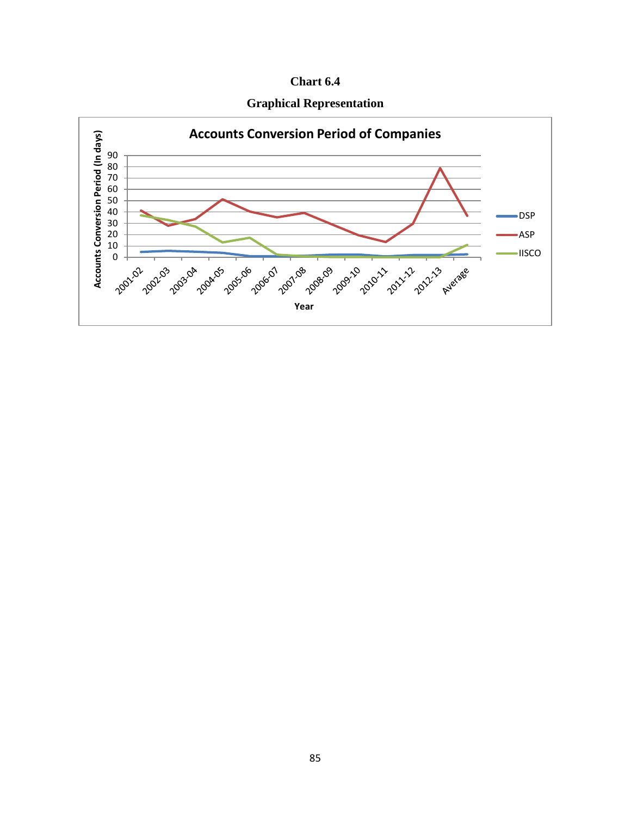| Chart 6.4 |  |
|-----------|--|
|-----------|--|



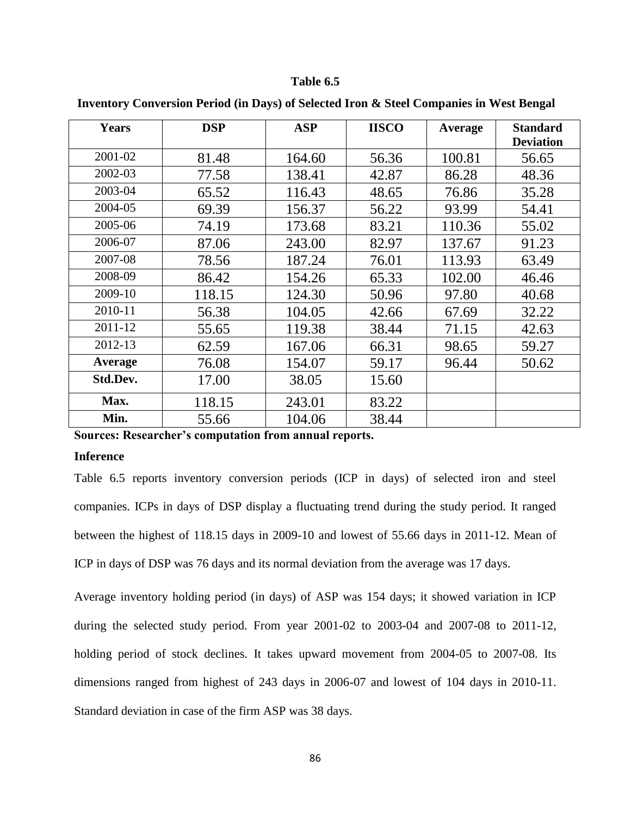| <b>Years</b> | <b>DSP</b> | <b>ASP</b> | <b>IISCO</b> | Average | <b>Standard</b><br><b>Deviation</b> |
|--------------|------------|------------|--------------|---------|-------------------------------------|
| 2001-02      | 81.48      | 164.60     | 56.36        | 100.81  | 56.65                               |
| 2002-03      | 77.58      | 138.41     | 42.87        | 86.28   | 48.36                               |
| 2003-04      | 65.52      | 116.43     | 48.65        | 76.86   | 35.28                               |
| 2004-05      | 69.39      | 156.37     | 56.22        | 93.99   | 54.41                               |
| 2005-06      | 74.19      | 173.68     | 83.21        | 110.36  | 55.02                               |
| 2006-07      | 87.06      | 243.00     | 82.97        | 137.67  | 91.23                               |
| 2007-08      | 78.56      | 187.24     | 76.01        | 113.93  | 63.49                               |
| 2008-09      | 86.42      | 154.26     | 65.33        | 102.00  | 46.46                               |
| 2009-10      | 118.15     | 124.30     | 50.96        | 97.80   | 40.68                               |
| 2010-11      | 56.38      | 104.05     | 42.66        | 67.69   | 32.22                               |
| 2011-12      | 55.65      | 119.38     | 38.44        | 71.15   | 42.63                               |
| 2012-13      | 62.59      | 167.06     | 66.31        | 98.65   | 59.27                               |
| Average      | 76.08      | 154.07     | 59.17        | 96.44   | 50.62                               |
| Std.Dev.     | 17.00      | 38.05      | 15.60        |         |                                     |
| Max.         | 118.15     | 243.01     | 83.22        |         |                                     |
| Min.         | 55.66      | 104.06     | 38.44        |         |                                     |

**Inventory Conversion Period (in Days) of Selected Iron & Steel Companies in West Bengal**

**Sources: Researcher's computation from annual reports.**

#### **Inference**

Table 6.5 reports inventory conversion periods (ICP in days) of selected iron and steel companies. ICPs in days of DSP display a fluctuating trend during the study period. It ranged between the highest of 118.15 days in 2009-10 and lowest of 55.66 days in 2011-12. Mean of ICP in days of DSP was 76 days and its normal deviation from the average was 17 days.

Average inventory holding period (in days) of ASP was 154 days; it showed variation in ICP during the selected study period. From year 2001-02 to 2003-04 and 2007-08 to 2011-12, holding period of stock declines. It takes upward movement from 2004-05 to 2007-08. Its dimensions ranged from highest of 243 days in 2006-07 and lowest of 104 days in 2010-11. Standard deviation in case of the firm ASP was 38 days.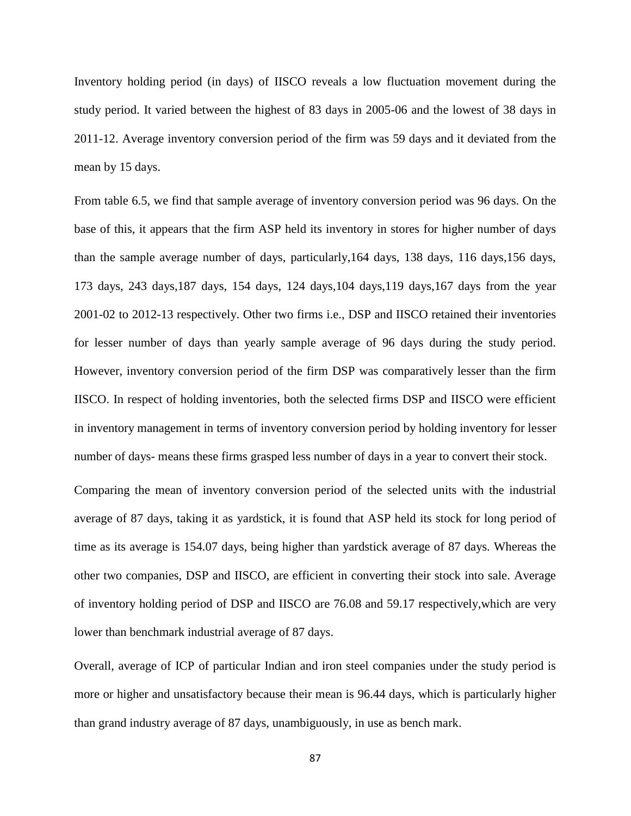Inventory holding period (in days) of IISCO reveals a low fluctuation movement during the study period. It varied between the highest of 83 days in 2005-06 and the lowest of 38 days in 2011-12. Average inventory conversion period of the firm was 59 days and it deviated from the mean by 15 days.

From table 6.5, we find that sample average of inventory conversion period was 96 days. On the base of this, it appears that the firm ASP held its inventory in stores for higher number of days than the sample average number of days, particularly,164 days, 138 days, 116 days,156 days, 173 days, 243 days,187 days, 154 days, 124 days,104 days,119 days,167 days from the year 2001-02 to 2012-13 respectively. Other two firms i.e., DSP and IISCO retained their inventories for lesser number of days than yearly sample average of 96 days during the study period. However, inventory conversion period of the firm DSP was comparatively lesser than the firm IISCO. In respect of holding inventories, both the selected firms DSP and IISCO were efficient in inventory management in terms of inventory conversion period by holding inventory for lesser number of days- means these firms grasped less number of days in a year to convert their stock.

Comparing the mean of inventory conversion period of the selected units with the industrial average of 87 days, taking it as yardstick, it is found that ASP held its stock for long period of time as its average is 154.07 days, being higher than yardstick average of 87 days. Whereas the other two companies, DSP and IISCO, are efficient in converting their stock into sale. Average of inventory holding period of DSP and IISCO are 76.08 and 59.17 respectively,which are very lower than benchmark industrial average of 87 days.

Overall, average of ICP of particular Indian and iron steel companies under the study period is more or higher and unsatisfactory because their mean is 96.44 days, which is particularly higher than grand industry average of 87 days, unambiguously, in use as bench mark.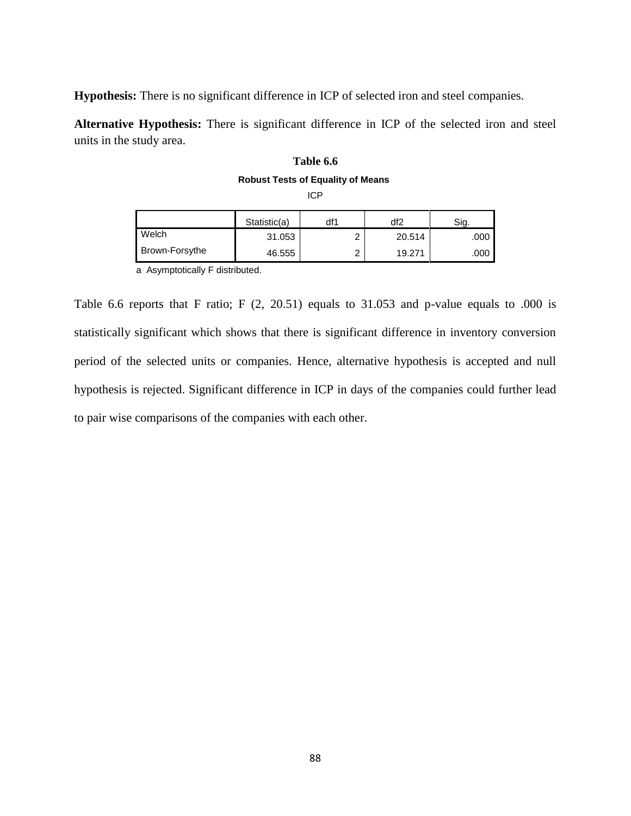**Hypothesis:** There is no significant difference in ICP of selected iron and steel companies.

**Alternative Hypothesis:** There is significant difference in ICP of the selected iron and steel units in the study area.

# **Table 6.6 Robust Tests of Equality of Means** ICP

|       | Statistic(a) | df1    | df2    | Sig  |
|-------|--------------|--------|--------|------|
| Welch | 31.053       | ⌒<br>- | 20.514 | .000 |

Brown-Forsythe | 46.555 | 2 19.271 .000

a Asymptotically F distributed.

Table 6.6 reports that F ratio; F (2, 20.51) equals to 31.053 and p-value equals to .000 is statistically significant which shows that there is significant difference in inventory conversion period of the selected units or companies. Hence, alternative hypothesis is accepted and null hypothesis is rejected. Significant difference in ICP in days of the companies could further lead to pair wise comparisons of the companies with each other.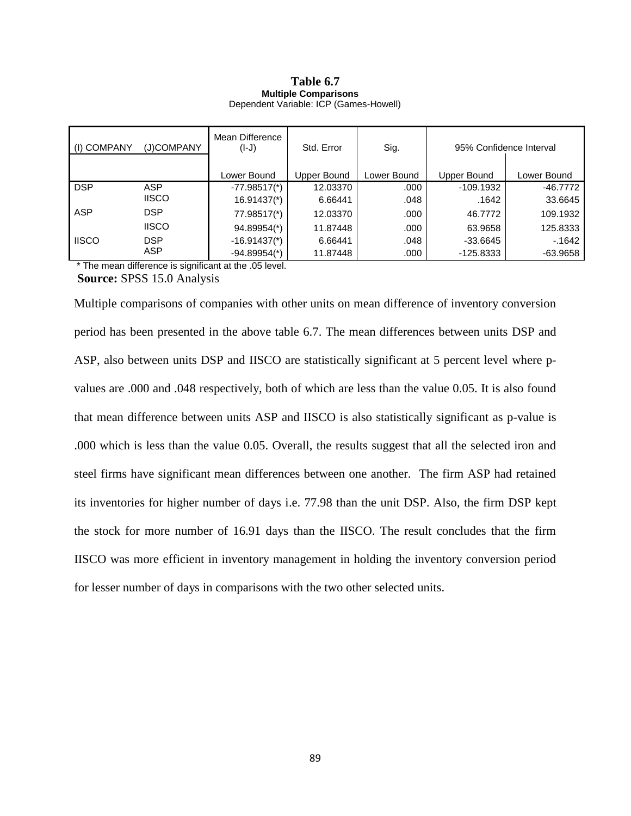#### **Table 6.7 Multiple Comparisons** Dependent Variable: ICP (Games-Howell)

| (I) COMPANY  | (J)COMPANY   | Mean Difference<br>$(I-J)$ | Std. Error  | Sig.        | 95% Confidence Interval |             |
|--------------|--------------|----------------------------|-------------|-------------|-------------------------|-------------|
|              |              |                            |             |             |                         |             |
|              |              | Lower Bound                | Upper Bound | Lower Bound | Upper Bound             | Lower Bound |
| <b>DSP</b>   | <b>ASP</b>   | $-77.98517$ <sup>*</sup> ) | 12.03370    | .000        | $-109.1932$             | $-46.7772$  |
|              | <b>IISCO</b> | $16.91437*$                | 6.66441     | .048        | .1642                   | 33.6645     |
| <b>ASP</b>   | <b>DSP</b>   | 77.98517(*)                | 12.03370    | .000        | 46.7772                 | 109.1932    |
|              | <b>IISCO</b> | 94.89954(*)                | 11.87448    | .000        | 63.9658                 | 125.8333    |
| <b>IISCO</b> | <b>DSP</b>   | $-16.91437$ <sup>*</sup> ) | 6.66441     | .048        | $-33.6645$              | $-1642$     |
|              | <b>ASP</b>   | $-94.89954$ <sup>*</sup> ) | 11.87448    | .000        | $-125.8333$             | $-63.9658$  |

\* The mean difference is significant at the .05 level.

**Source:** SPSS 15.0 Analysis

Multiple comparisons of companies with other units on mean difference of inventory conversion period has been presented in the above table 6.7. The mean differences between units DSP and ASP, also between units DSP and IISCO are statistically significant at 5 percent level where pvalues are .000 and .048 respectively, both of which are less than the value 0.05. It is also found that mean difference between units ASP and IISCO is also statistically significant as p-value is .000 which is less than the value 0.05. Overall, the results suggest that all the selected iron and steel firms have significant mean differences between one another. The firm ASP had retained its inventories for higher number of days i.e. 77.98 than the unit DSP. Also, the firm DSP kept the stock for more number of 16.91 days than the IISCO. The result concludes that the firm IISCO was more efficient in inventory management in holding the inventory conversion period for lesser number of days in comparisons with the two other selected units.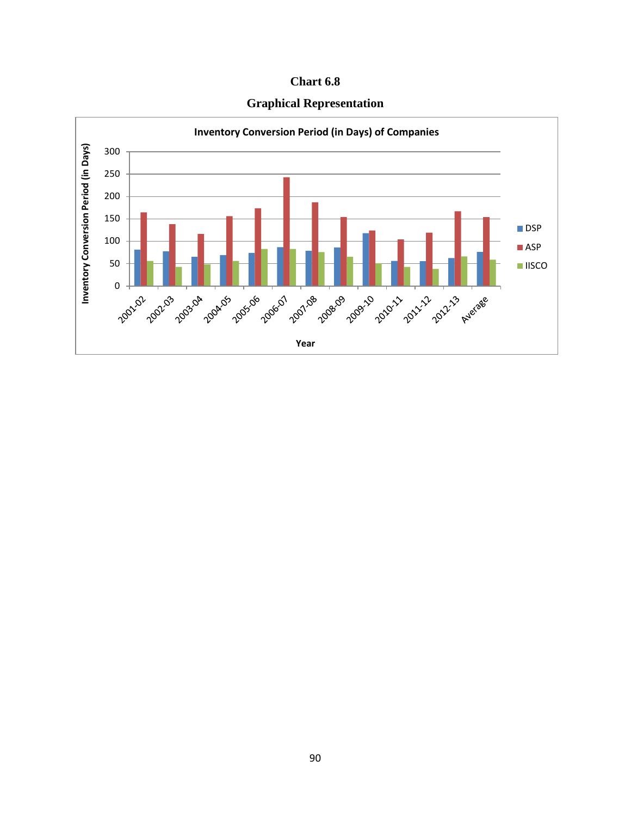| <b>Chart 6.8</b> |  |
|------------------|--|
|------------------|--|



**Graphical Representation**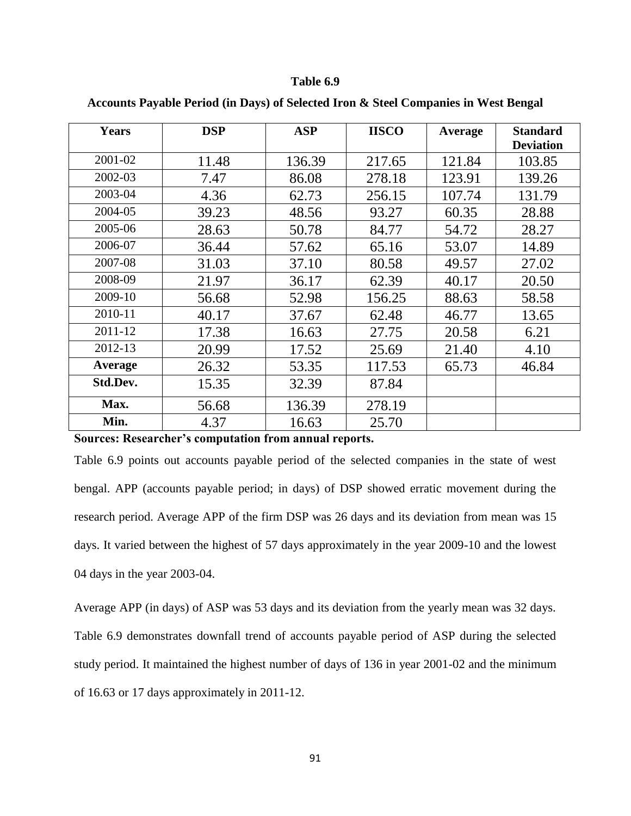| <b>Years</b> | <b>DSP</b> | <b>ASP</b> | <b>IISCO</b> | Average | <b>Standard</b><br><b>Deviation</b> |
|--------------|------------|------------|--------------|---------|-------------------------------------|
| 2001-02      | 11.48      | 136.39     | 217.65       | 121.84  | 103.85                              |
| 2002-03      | 7.47       | 86.08      | 278.18       | 123.91  | 139.26                              |
| 2003-04      | 4.36       | 62.73      | 256.15       | 107.74  | 131.79                              |
| 2004-05      | 39.23      | 48.56      | 93.27        | 60.35   | 28.88                               |
| 2005-06      | 28.63      | 50.78      | 84.77        | 54.72   | 28.27                               |
| 2006-07      | 36.44      | 57.62      | 65.16        | 53.07   | 14.89                               |
| 2007-08      | 31.03      | 37.10      | 80.58        | 49.57   | 27.02                               |
| 2008-09      | 21.97      | 36.17      | 62.39        | 40.17   | 20.50                               |
| 2009-10      | 56.68      | 52.98      | 156.25       | 88.63   | 58.58                               |
| 2010-11      | 40.17      | 37.67      | 62.48        | 46.77   | 13.65                               |
| 2011-12      | 17.38      | 16.63      | 27.75        | 20.58   | 6.21                                |
| 2012-13      | 20.99      | 17.52      | 25.69        | 21.40   | 4.10                                |
| Average      | 26.32      | 53.35      | 117.53       | 65.73   | 46.84                               |
| Std.Dev.     | 15.35      | 32.39      | 87.84        |         |                                     |
| Max.         | 56.68      | 136.39     | 278.19       |         |                                     |
| Min.         | 4.37       | 16.63      | 25.70        |         |                                     |

**Accounts Payable Period (in Days) of Selected Iron & Steel Companies in West Bengal**

**Sources: Researcher's computation from annual reports.**

Table 6.9 points out accounts payable period of the selected companies in the state of west bengal. APP (accounts payable period; in days) of DSP showed erratic movement during the research period. Average APP of the firm DSP was 26 days and its deviation from mean was 15 days. It varied between the highest of 57 days approximately in the year 2009-10 and the lowest 04 days in the year 2003-04.

Average APP (in days) of ASP was 53 days and its deviation from the yearly mean was 32 days. Table 6.9 demonstrates downfall trend of accounts payable period of ASP during the selected study period. It maintained the highest number of days of 136 in year 2001-02 and the minimum of 16.63 or 17 days approximately in 2011-12.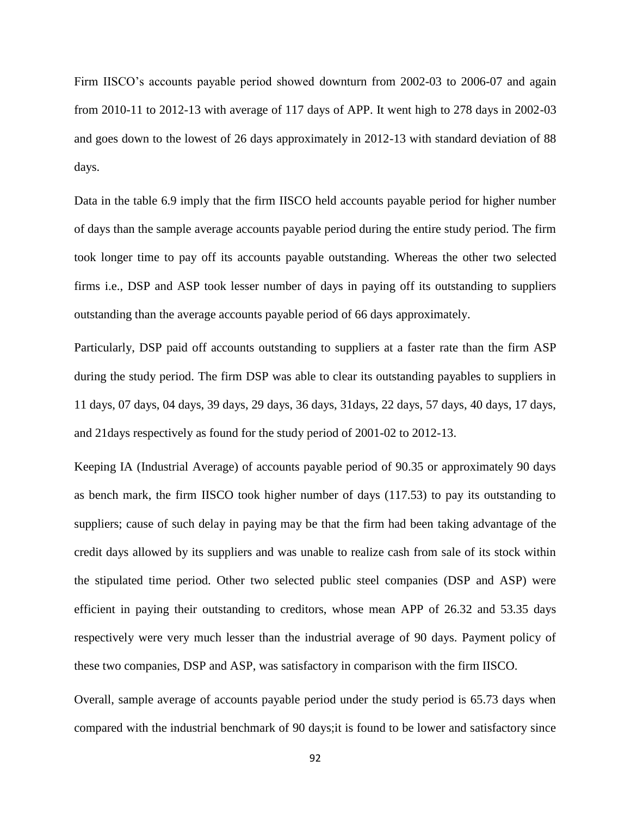Firm IISCO's accounts payable period showed downturn from 2002-03 to 2006-07 and again from 2010-11 to 2012-13 with average of 117 days of APP. It went high to 278 days in 2002-03 and goes down to the lowest of 26 days approximately in 2012-13 with standard deviation of 88 days.

Data in the table 6.9 imply that the firm IISCO held accounts payable period for higher number of days than the sample average accounts payable period during the entire study period. The firm took longer time to pay off its accounts payable outstanding. Whereas the other two selected firms i.e., DSP and ASP took lesser number of days in paying off its outstanding to suppliers outstanding than the average accounts payable period of 66 days approximately.

Particularly, DSP paid off accounts outstanding to suppliers at a faster rate than the firm ASP during the study period. The firm DSP was able to clear its outstanding payables to suppliers in 11 days, 07 days, 04 days, 39 days, 29 days, 36 days, 31days, 22 days, 57 days, 40 days, 17 days, and 21days respectively as found for the study period of 2001-02 to 2012-13.

Keeping IA (Industrial Average) of accounts payable period of 90.35 or approximately 90 days as bench mark, the firm IISCO took higher number of days (117.53) to pay its outstanding to suppliers; cause of such delay in paying may be that the firm had been taking advantage of the credit days allowed by its suppliers and was unable to realize cash from sale of its stock within the stipulated time period. Other two selected public steel companies (DSP and ASP) were efficient in paying their outstanding to creditors, whose mean APP of 26.32 and 53.35 days respectively were very much lesser than the industrial average of 90 days. Payment policy of these two companies, DSP and ASP, was satisfactory in comparison with the firm IISCO.

Overall, sample average of accounts payable period under the study period is 65.73 days when compared with the industrial benchmark of 90 days;it is found to be lower and satisfactory since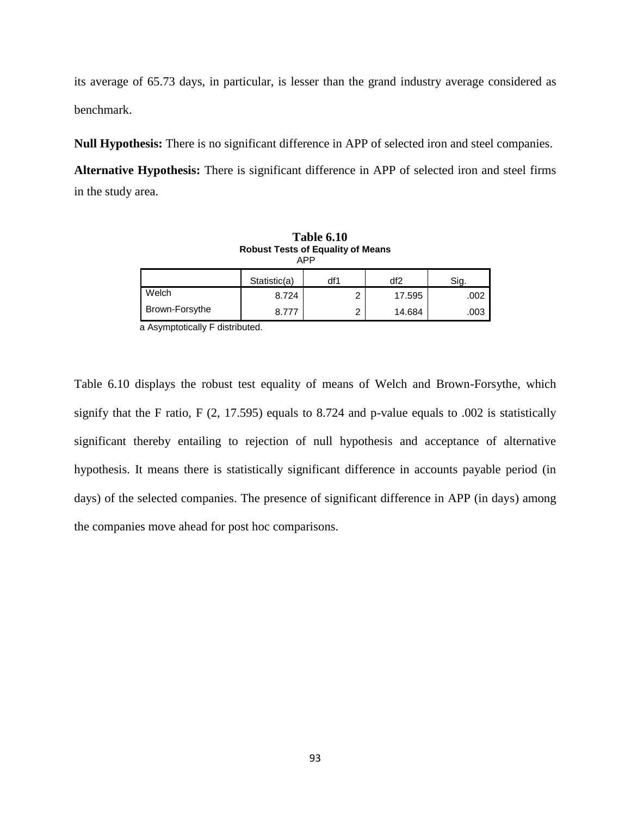its average of 65.73 days, in particular, is lesser than the grand industry average considered as benchmark.

**Null Hypothesis:** There is no significant difference in APP of selected iron and steel companies. **Alternative Hypothesis:** There is significant difference in APP of selected iron and steel firms in the study area.

| <b>Table 6.10</b><br><b>Robust Tests of Equality of Means</b><br><b>APP</b> |              |     |        |      |  |  |
|-----------------------------------------------------------------------------|--------------|-----|--------|------|--|--|
|                                                                             | Statistic(a) | df1 | df2    | Sig. |  |  |
| Welch                                                                       | 8.724        | 2   | 17.595 | .002 |  |  |
| Brown-Forsythe                                                              | 8 7 7 7      | 2   | 14.684 | .003 |  |  |

a Asymptotically F distributed.

Table 6.10 displays the robust test equality of means of Welch and Brown-Forsythe, which signify that the F ratio, F (2, 17.595) equals to 8.724 and p-value equals to .002 is statistically significant thereby entailing to rejection of null hypothesis and acceptance of alternative hypothesis. It means there is statistically significant difference in accounts payable period (in days) of the selected companies. The presence of significant difference in APP (in days) among the companies move ahead for post hoc comparisons.

93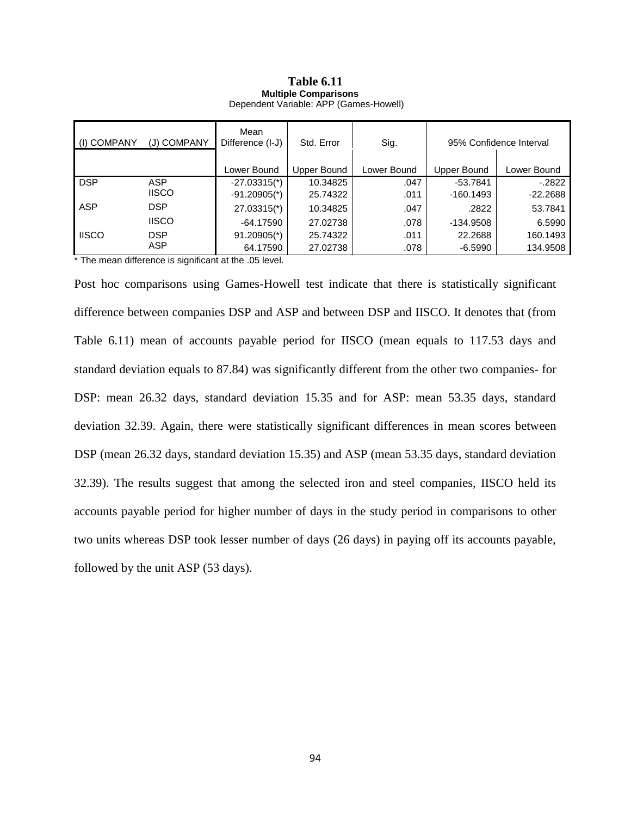#### **Table 6.11 Multiple Comparisons** Dependent Variable: APP (Games-Howell)

| (I) COMPANY  | (J) COMPANY  | Mean<br>Difference (I-J)   | Std. Error  | Sig.        |             | 95% Confidence Interval |
|--------------|--------------|----------------------------|-------------|-------------|-------------|-------------------------|
|              |              | Lower Bound                | Upper Bound | Lower Bound | Upper Bound | Lower Bound             |
| <b>DSP</b>   | ASP          | $-27.03315$ <sup>*</sup> ) | 10.34825    | .047        | $-53.7841$  | $-.2822$                |
|              | <b>IISCO</b> | $-91.20905$ <sup>*</sup> ) | 25.74322    | .011        | $-160.1493$ | $-22.2688$              |
| ASP          | <b>DSP</b>   | 27.03315(*)                | 10.34825    | .047        | .2822       | 53.7841                 |
|              | <b>IISCO</b> | $-64.17590$                | 27.02738    | .078        | -134.9508   | 6.5990                  |
| <b>IISCO</b> | <b>DSP</b>   | $91.20905$ <sup>*</sup> )  | 25.74322    | .011        | 22.2688     | 160.1493                |
|              | ASP          | 64.17590                   | 27.02738    | .078        | $-6.5990$   | 134.9508                |

\* The mean difference is significant at the .05 level.

Post hoc comparisons using Games-Howell test indicate that there is statistically significant difference between companies DSP and ASP and between DSP and IISCO. It denotes that (from Table 6.11) mean of accounts payable period for IISCO (mean equals to 117.53 days and standard deviation equals to 87.84) was significantly different from the other two companies- for DSP: mean 26.32 days, standard deviation 15.35 and for ASP: mean 53.35 days, standard deviation 32.39. Again, there were statistically significant differences in mean scores between DSP (mean 26.32 days, standard deviation 15.35) and ASP (mean 53.35 days, standard deviation 32.39). The results suggest that among the selected iron and steel companies, IISCO held its accounts payable period for higher number of days in the study period in comparisons to other two units whereas DSP took lesser number of days (26 days) in paying off its accounts payable, followed by the unit ASP (53 days).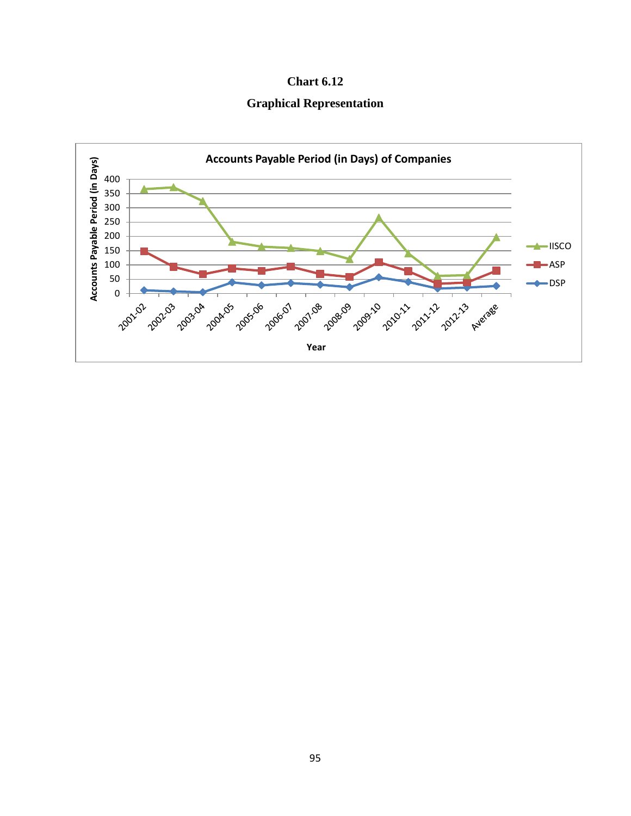

**Graphical Representation**

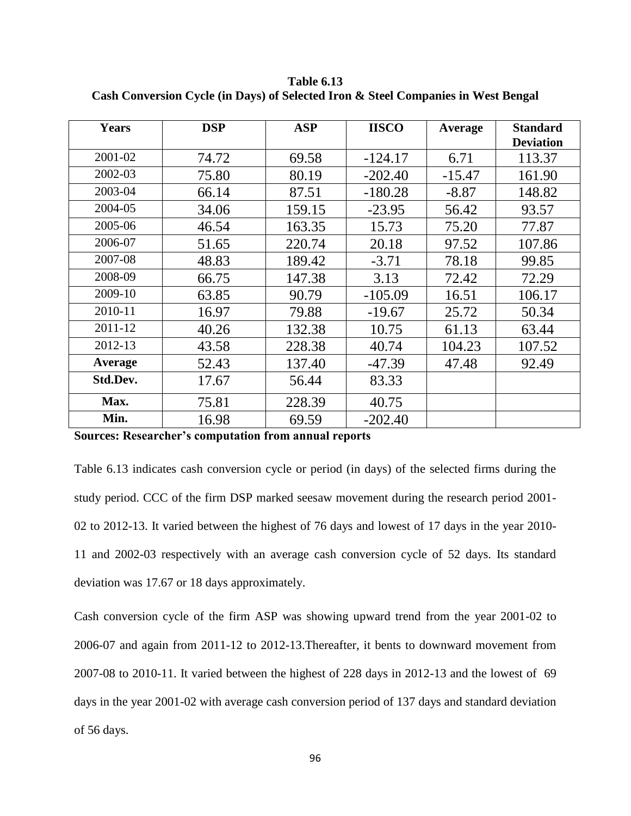| <b>Years</b> | <b>DSP</b> | <b>ASP</b> | <b>IISCO</b> | Average  | <b>Standard</b><br><b>Deviation</b> |
|--------------|------------|------------|--------------|----------|-------------------------------------|
| 2001-02      | 74.72      | 69.58      | $-124.17$    | 6.71     | 113.37                              |
| 2002-03      | 75.80      | 80.19      | $-202.40$    | $-15.47$ | 161.90                              |
| 2003-04      | 66.14      | 87.51      | $-180.28$    | $-8.87$  | 148.82                              |
| 2004-05      | 34.06      | 159.15     | $-23.95$     | 56.42    | 93.57                               |
| 2005-06      | 46.54      | 163.35     | 15.73        | 75.20    | 77.87                               |
| 2006-07      | 51.65      | 220.74     | 20.18        | 97.52    | 107.86                              |
| 2007-08      | 48.83      | 189.42     | $-3.71$      | 78.18    | 99.85                               |
| 2008-09      | 66.75      | 147.38     | 3.13         | 72.42    | 72.29                               |
| 2009-10      | 63.85      | 90.79      | $-105.09$    | 16.51    | 106.17                              |
| 2010-11      | 16.97      | 79.88      | $-19.67$     | 25.72    | 50.34                               |
| 2011-12      | 40.26      | 132.38     | 10.75        | 61.13    | 63.44                               |
| 2012-13      | 43.58      | 228.38     | 40.74        | 104.23   | 107.52                              |
| Average      | 52.43      | 137.40     | $-47.39$     | 47.48    | 92.49                               |
| Std.Dev.     | 17.67      | 56.44      | 83.33        |          |                                     |
| Max.         | 75.81      | 228.39     | 40.75        |          |                                     |
| Min.         | 16.98      | 69.59      | $-202.40$    |          |                                     |

**Table 6.13 Cash Conversion Cycle (in Days) of Selected Iron & Steel Companies in West Bengal**

**Sources: Researcher's computation from annual reports**

Table 6.13 indicates cash conversion cycle or period (in days) of the selected firms during the study period. CCC of the firm DSP marked seesaw movement during the research period 2001- 02 to 2012-13. It varied between the highest of 76 days and lowest of 17 days in the year 2010- 11 and 2002-03 respectively with an average cash conversion cycle of 52 days. Its standard deviation was 17.67 or 18 days approximately.

Cash conversion cycle of the firm ASP was showing upward trend from the year 2001-02 to 2006-07 and again from 2011-12 to 2012-13.Thereafter, it bents to downward movement from 2007-08 to 2010-11. It varied between the highest of 228 days in 2012-13 and the lowest of 69 days in the year 2001-02 with average cash conversion period of 137 days and standard deviation of 56 days.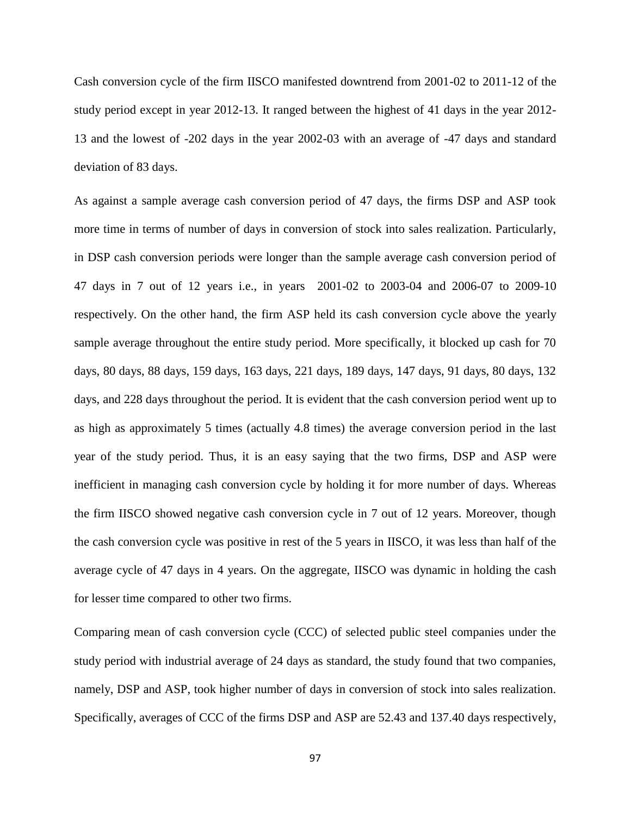Cash conversion cycle of the firm IISCO manifested downtrend from 2001-02 to 2011-12 of the study period except in year 2012-13. It ranged between the highest of 41 days in the year 2012- 13 and the lowest of -202 days in the year 2002-03 with an average of -47 days and standard deviation of 83 days.

As against a sample average cash conversion period of 47 days, the firms DSP and ASP took more time in terms of number of days in conversion of stock into sales realization. Particularly, in DSP cash conversion periods were longer than the sample average cash conversion period of 47 days in 7 out of 12 years i.e., in years 2001-02 to 2003-04 and 2006-07 to 2009-10 respectively. On the other hand, the firm ASP held its cash conversion cycle above the yearly sample average throughout the entire study period. More specifically, it blocked up cash for 70 days, 80 days, 88 days, 159 days, 163 days, 221 days, 189 days, 147 days, 91 days, 80 days, 132 days, and 228 days throughout the period. It is evident that the cash conversion period went up to as high as approximately 5 times (actually 4.8 times) the average conversion period in the last year of the study period. Thus, it is an easy saying that the two firms, DSP and ASP were inefficient in managing cash conversion cycle by holding it for more number of days. Whereas the firm IISCO showed negative cash conversion cycle in 7 out of 12 years. Moreover, though the cash conversion cycle was positive in rest of the 5 years in IISCO, it was less than half of the average cycle of 47 days in 4 years. On the aggregate, IISCO was dynamic in holding the cash for lesser time compared to other two firms.

Comparing mean of cash conversion cycle (CCC) of selected public steel companies under the study period with industrial average of 24 days as standard, the study found that two companies, namely, DSP and ASP, took higher number of days in conversion of stock into sales realization. Specifically, averages of CCC of the firms DSP and ASP are 52.43 and 137.40 days respectively,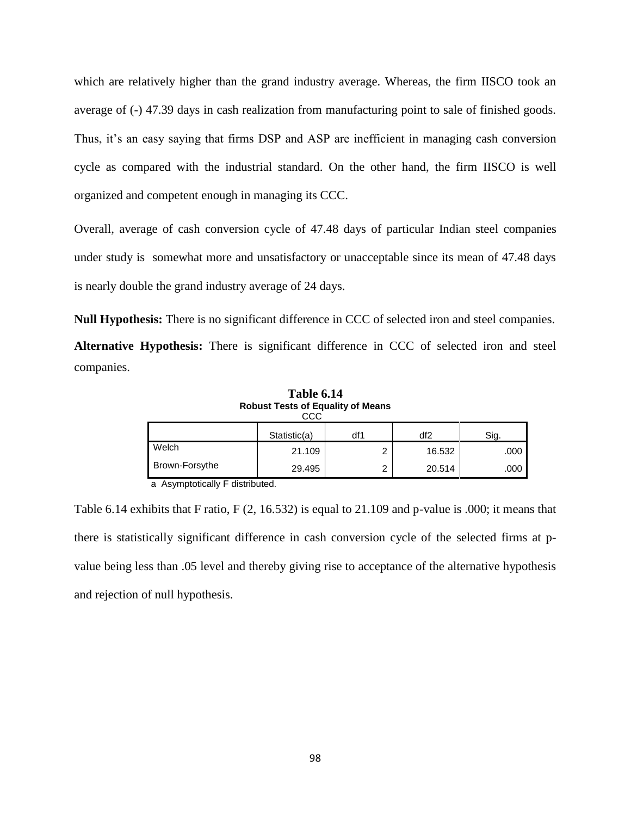which are relatively higher than the grand industry average. Whereas, the firm IISCO took an average of (-) 47.39 days in cash realization from manufacturing point to sale of finished goods. Thus, it's an easy saying that firms DSP and ASP are inefficient in managing cash conversion cycle as compared with the industrial standard. On the other hand, the firm IISCO is well organized and competent enough in managing its CCC.

Overall, average of cash conversion cycle of 47.48 days of particular Indian steel companies under study is somewhat more and unsatisfactory or unacceptable since its mean of 47.48 days is nearly double the grand industry average of 24 days.

**Null Hypothesis:** There is no significant difference in CCC of selected iron and steel companies. **Alternative Hypothesis:** There is significant difference in CCC of selected iron and steel companies.

| RODUST LESTS OF EQUALITY OF MEANS<br>ссс |              |     |        |      |  |  |  |  |  |
|------------------------------------------|--------------|-----|--------|------|--|--|--|--|--|
|                                          | Statistic(a) | df1 | df2    | Sig. |  |  |  |  |  |
| Welch                                    | 21.109       | ⌒   | 16.532 | .000 |  |  |  |  |  |
| Brown-Forsythe                           | 29.495       | ົ   | 20.514 | .000 |  |  |  |  |  |

**Table 6.14 Robust Tests of Equality of Means**

a Asymptotically F distributed.

Table 6.14 exhibits that F ratio, F (2, 16.532) is equal to 21.109 and p-value is .000; it means that there is statistically significant difference in cash conversion cycle of the selected firms at pvalue being less than .05 level and thereby giving rise to acceptance of the alternative hypothesis and rejection of null hypothesis.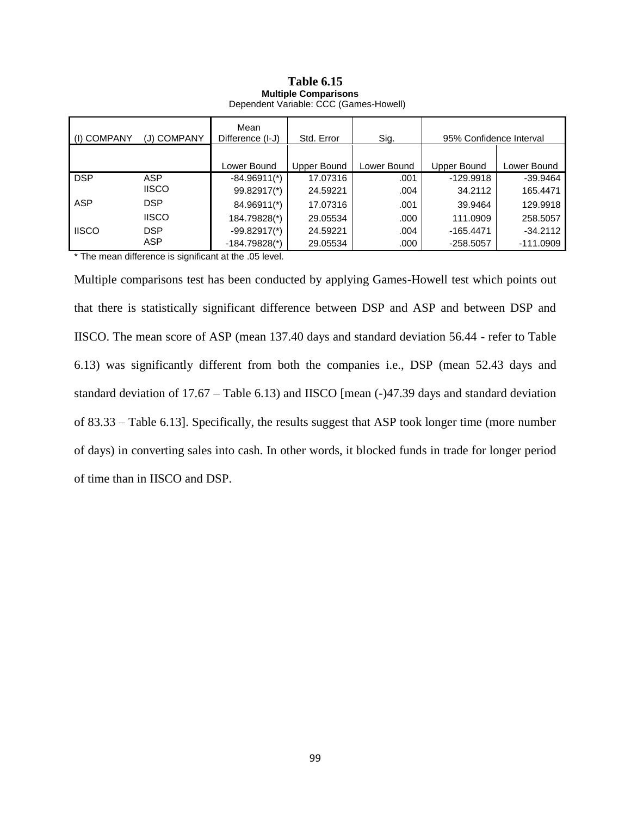| (I) COMPANY  | (J) COMPANY  | Mean<br>Difference (I-J)    | Std. Error  | Sig.        | 95% Confidence Interval |             |  |
|--------------|--------------|-----------------------------|-------------|-------------|-------------------------|-------------|--|
|              |              |                             |             |             |                         |             |  |
|              |              | Lower Bound                 | Upper Bound | Lower Bound | Upper Bound             | Lower Bound |  |
| <b>DSP</b>   | ASP          | $-84.96911$ <sup>*</sup> )  | 17.07316    | .001        | $-129.9918$             | $-39.9464$  |  |
|              | <b>IISCO</b> | 99.82917(*)                 | 24.59221    | .004        | 34.2112                 | 165.4471    |  |
| <b>ASP</b>   | <b>DSP</b>   | 84.96911(*)                 | 17.07316    | .001        | 39.9464                 | 129.9918    |  |
|              | <b>IISCO</b> | 184.79828(*)                | 29.05534    | .000        | 111.0909                | 258.5057    |  |
| <b>IISCO</b> | <b>DSP</b>   | $-99.82917$ <sup>*</sup> )  | 24.59221    | .004        | $-165.4471$             | $-34.2112$  |  |
|              | ASP          | $-184.79828$ <sup>*</sup> ) | 29.05534    | .000        | $-258.5057$             | $-111.0909$ |  |

#### **Table 6.15 Multiple Comparisons** Dependent Variable: CCC (Games-Howell)

\* The mean difference is significant at the .05 level.

Multiple comparisons test has been conducted by applying Games-Howell test which points out that there is statistically significant difference between DSP and ASP and between DSP and IISCO. The mean score of ASP (mean 137.40 days and standard deviation 56.44 - refer to Table 6.13) was significantly different from both the companies i.e., DSP (mean 52.43 days and standard deviation of 17.67 – Table 6.13) and IISCO [mean (-)47.39 days and standard deviation of 83.33 – Table 6.13]. Specifically, the results suggest that ASP took longer time (more number of days) in converting sales into cash. In other words, it blocked funds in trade for longer period of time than in IISCO and DSP.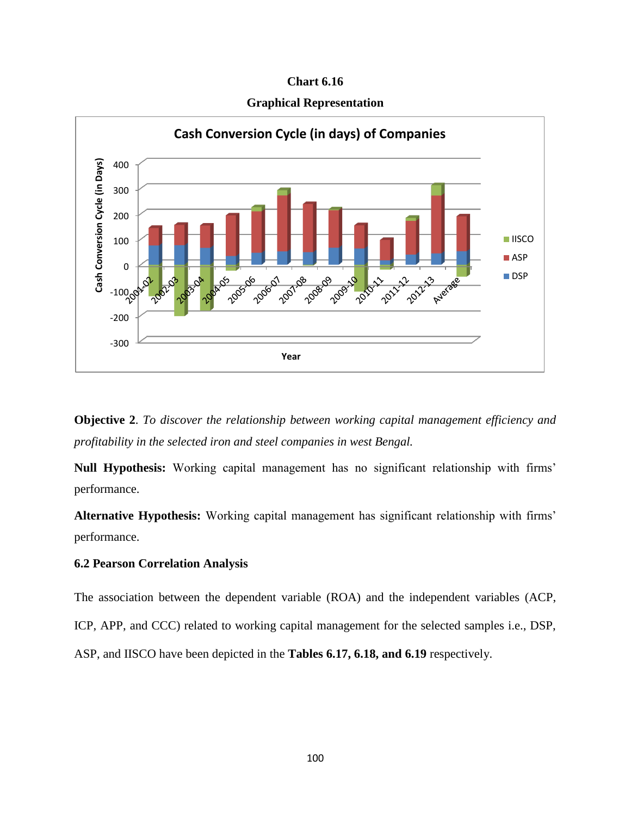**Chart 6.16**

**Graphical Representation**





**Null Hypothesis:** Working capital management has no significant relationship with firms' performance.

**Alternative Hypothesis:** Working capital management has significant relationship with firms' performance.

# **6.2 Pearson Correlation Analysis**

The association between the dependent variable (ROA) and the independent variables (ACP,

ICP, APP, and CCC) related to working capital management for the selected samples i.e., DSP,

ASP, and IISCO have been depicted in the **Tables 6.17, 6.18, and 6.19** respectively.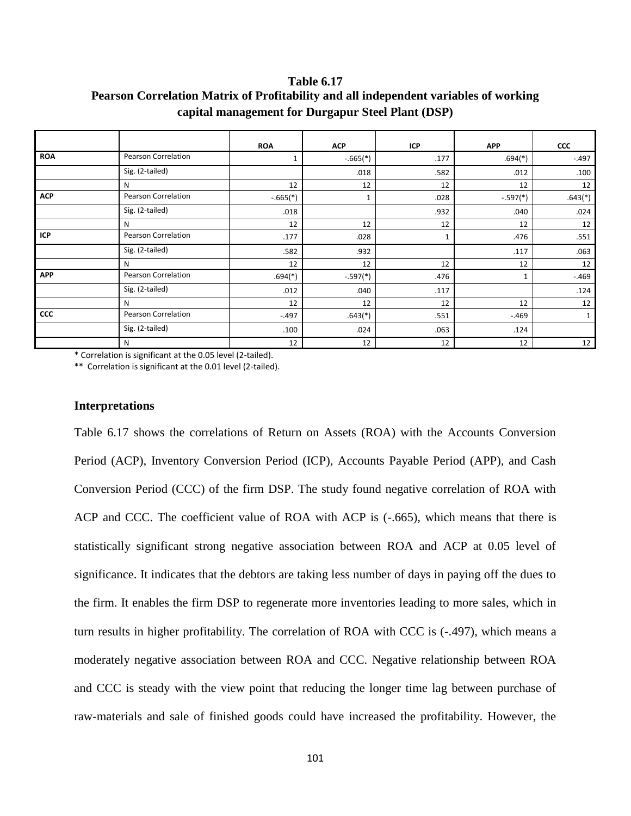**Table 6.17 Pearson Correlation Matrix of Profitability and all independent variables of working capital management for Durgapur Steel Plant (DSP)**

|            |                     | <b>ROA</b> | <b>ACP</b> | ICP  | <b>APP</b> | <b>CCC</b>   |
|------------|---------------------|------------|------------|------|------------|--------------|
| <b>ROA</b> | Pearson Correlation | 1          | $-.665(*)$ | .177 | $.694(*)$  | $-.497$      |
|            | Sig. (2-tailed)     |            | .018       | .582 | .012       | .100         |
|            | N                   | 12         | 12         | 12   | 12         | 12           |
| <b>ACP</b> | Pearson Correlation | $-.665(*)$ | 1          | .028 | $-.597(*)$ | $.643(*)$    |
|            | Sig. (2-tailed)     | .018       |            | .932 | .040       | .024         |
|            | N                   | 12         | 12         | 12   | 12         | 12           |
| ICP        | Pearson Correlation | .177       | .028       | 1    | .476       | .551         |
|            | Sig. (2-tailed)     | .582       | .932       |      | .117       | .063         |
|            | N                   | 12         | 12         | 12   | 12         | 12           |
| <b>APP</b> | Pearson Correlation | $.694(*)$  | $-.597(*)$ | .476 | 1          | $-.469$      |
|            | Sig. (2-tailed)     | .012       | .040       | .117 |            | .124         |
|            | N                   | 12         | 12         | 12   | 12         | 12           |
| ccc        | Pearson Correlation | $-.497$    | $.643(*)$  | .551 | $-.469$    | $\mathbf{1}$ |
|            | Sig. (2-tailed)     | .100       | .024       | .063 | .124       |              |
|            | N                   | 12         | 12         | 12   | 12         | 12           |

\* Correlation is significant at the 0.05 level (2-tailed).

\*\* Correlation is significant at the 0.01 level (2-tailed).

#### **Interpretations**

Table 6.17 shows the correlations of Return on Assets (ROA) with the Accounts Conversion Period (ACP), Inventory Conversion Period (ICP), Accounts Payable Period (APP), and Cash Conversion Period (CCC) of the firm DSP. The study found negative correlation of ROA with ACP and CCC. The coefficient value of ROA with ACP is (-.665), which means that there is statistically significant strong negative association between ROA and ACP at 0.05 level of significance. It indicates that the debtors are taking less number of days in paying off the dues to the firm. It enables the firm DSP to regenerate more inventories leading to more sales, which in turn results in higher profitability. The correlation of ROA with CCC is (-.497), which means a moderately negative association between ROA and CCC. Negative relationship between ROA and CCC is steady with the view point that reducing the longer time lag between purchase of raw-materials and sale of finished goods could have increased the profitability. However, the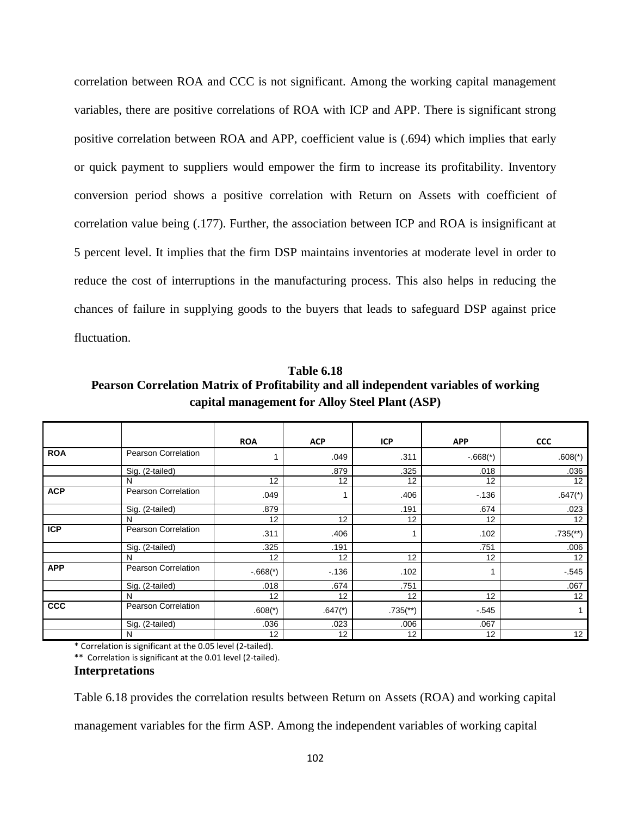correlation between ROA and CCC is not significant. Among the working capital management variables, there are positive correlations of ROA with ICP and APP. There is significant strong positive correlation between ROA and APP, coefficient value is (.694) which implies that early or quick payment to suppliers would empower the firm to increase its profitability. Inventory conversion period shows a positive correlation with Return on Assets with coefficient of correlation value being (.177). Further, the association between ICP and ROA is insignificant at 5 percent level. It implies that the firm DSP maintains inventories at moderate level in order to reduce the cost of interruptions in the manufacturing process. This also helps in reducing the chances of failure in supplying goods to the buyers that leads to safeguard DSP against price fluctuation.

**Table 6.18 Pearson Correlation Matrix of Profitability and all independent variables of working capital management for Alloy Steel Plant (ASP)**

|            |                            | <b>ROA</b> | <b>ACP</b>            | <b>ICP</b>               | <b>APP</b>            | <b>CCC</b>               |
|------------|----------------------------|------------|-----------------------|--------------------------|-----------------------|--------------------------|
| <b>ROA</b> | Pearson Correlation        |            | .049                  | .311                     | $-668$ <sup>*</sup> ) | $.608(*)$                |
|            | Sig. (2-tailed)            |            | .879                  | .325                     | .018                  | .036                     |
|            | N                          | 12         | 12                    | 12                       | 12                    | 12                       |
| <b>ACP</b> | Pearson Correlation        | .049       |                       | .406                     | $-136$                | $.647$ (*)               |
|            | Sig. (2-tailed)            | .879       |                       | .191                     | .674                  | .023                     |
|            | N                          | 12         | 12                    | 12                       | 12                    | 12                       |
| <b>ICP</b> | Pearson Correlation        | .311       | .406                  |                          | .102                  | $.735$ <sup>(**)</sup> ) |
|            | Sig. (2-tailed)            | .325       | .191                  |                          | .751                  | .006                     |
|            | N                          | 12         | 12                    | 12                       | 12                    | 12                       |
| <b>APP</b> | <b>Pearson Correlation</b> | $-.668(*)$ | $-136$                | .102                     |                       | $-545$                   |
|            | Sig. (2-tailed)            | .018       | .674                  | .751                     |                       | .067                     |
|            | N                          | 12         | 12                    | 12                       | 12                    | 12                       |
| <b>CCC</b> | Pearson Correlation        | $.608(*)$  | $.647$ <sup>*</sup> ) | $.735$ <sup>(**)</sup> ) | $-.545$               | 1                        |
|            | Sig. (2-tailed)            | .036       | .023                  | .006                     | .067                  |                          |
|            | N                          | 12         | 12                    | 12                       | 12                    | 12                       |

\* Correlation is significant at the 0.05 level (2-tailed).

\*\* Correlation is significant at the 0.01 level (2-tailed).

#### **Interpretations**

Table 6.18 provides the correlation results between Return on Assets (ROA) and working capital

management variables for the firm ASP. Among the independent variables of working capital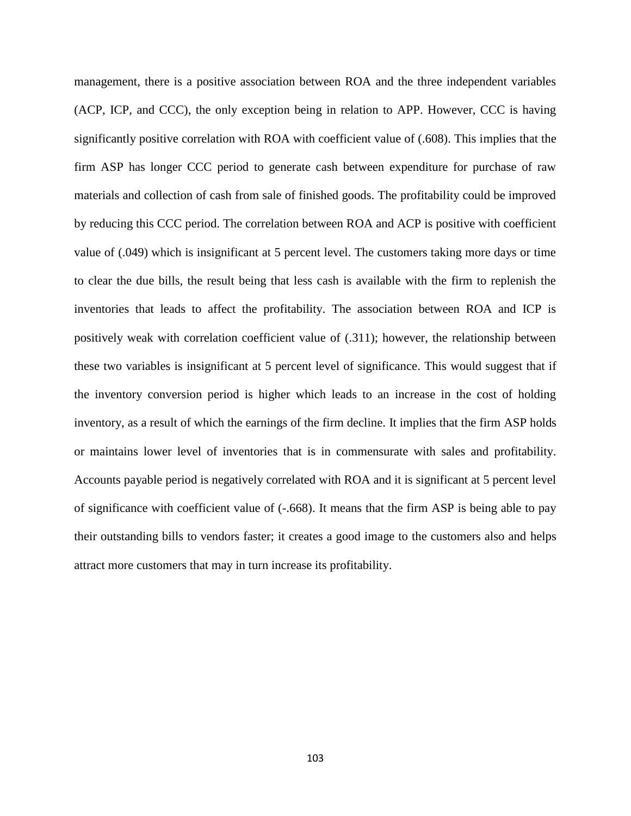management, there is a positive association between ROA and the three independent variables (ACP, ICP, and CCC), the only exception being in relation to APP. However, CCC is having significantly positive correlation with ROA with coefficient value of (.608). This implies that the firm ASP has longer CCC period to generate cash between expenditure for purchase of raw materials and collection of cash from sale of finished goods. The profitability could be improved by reducing this CCC period. The correlation between ROA and ACP is positive with coefficient value of (.049) which is insignificant at 5 percent level. The customers taking more days or time to clear the due bills, the result being that less cash is available with the firm to replenish the inventories that leads to affect the profitability. The association between ROA and ICP is positively weak with correlation coefficient value of (.311); however, the relationship between these two variables is insignificant at 5 percent level of significance. This would suggest that if the inventory conversion period is higher which leads to an increase in the cost of holding inventory, as a result of which the earnings of the firm decline. It implies that the firm ASP holds or maintains lower level of inventories that is in commensurate with sales and profitability. Accounts payable period is negatively correlated with ROA and it is significant at 5 percent level of significance with coefficient value of (-.668). It means that the firm ASP is being able to pay their outstanding bills to vendors faster; it creates a good image to the customers also and helps attract more customers that may in turn increase its profitability.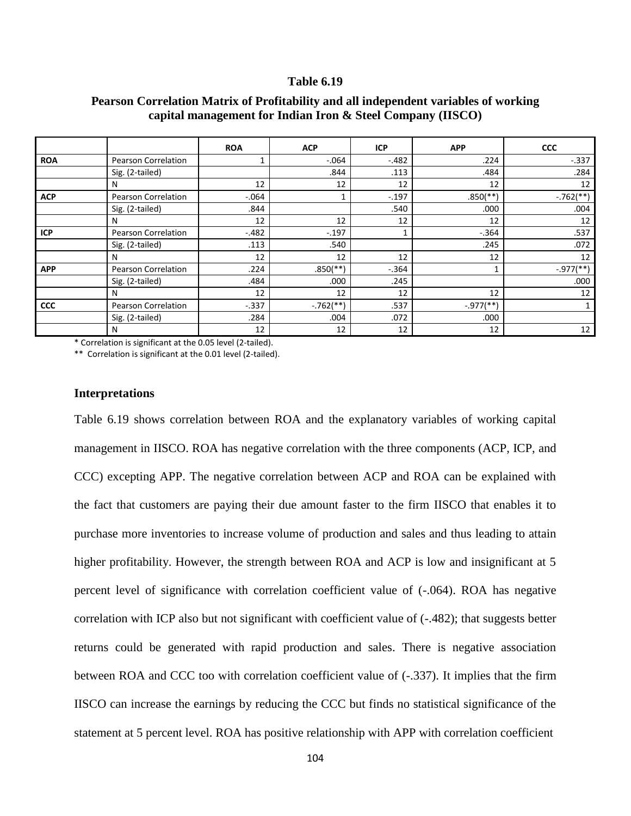|            |                            | <b>ROA</b> | <b>ACP</b>              | <b>ICP</b> | <b>APP</b>             | <b>CCC</b>              |
|------------|----------------------------|------------|-------------------------|------------|------------------------|-------------------------|
| <b>ROA</b> | <b>Pearson Correlation</b> | 1          | $-.064$                 | $-.482$    | .224                   | $-.337$                 |
|            | Sig. (2-tailed)            |            | .844                    | .113       | .484                   | .284                    |
|            | N                          | 12         | 12                      | 12         | 12                     | 12                      |
| <b>ACP</b> | <b>Pearson Correlation</b> | $-0.064$   |                         | $-.197$    | $.850$ <sup>(**)</sup> | $-.762$ <sup>**</sup> ) |
|            | Sig. (2-tailed)            | .844       |                         | .540       | .000                   | .004                    |
|            | N                          | 12         | 12                      | 12         | 12                     | 12                      |
| <b>ICP</b> | <b>Pearson Correlation</b> | $-.482$    | $-.197$                 |            | $-.364$                | .537                    |
|            | Sig. (2-tailed)            | .113       | .540                    |            | .245                   | .072                    |
|            | N                          | 12         | 12                      | 12         | 12                     | 12                      |
| <b>APP</b> | <b>Pearson Correlation</b> | .224       | $.850$ (**)             | $-.364$    |                        | $-.977$ (**)            |
|            | Sig. (2-tailed)            | .484       | .000                    | .245       |                        | .000                    |
|            | N                          | 12         | 12                      | 12         | 12                     | 12                      |
| <b>CCC</b> | <b>Pearson Correlation</b> | $-0.337$   | $-.762$ <sup>**</sup> ) | .537       | $-.977$ (**)           | 1                       |
|            | Sig. (2-tailed)            | .284       | .004                    | .072       | .000                   |                         |
|            | N                          | 12         | 12                      | 12         | 12                     | 12                      |

# **Pearson Correlation Matrix of Profitability and all independent variables of working capital management for Indian Iron & Steel Company (IISCO)**

\* Correlation is significant at the 0.05 level (2-tailed).

\*\* Correlation is significant at the 0.01 level (2-tailed).

### **Interpretations**

Table 6.19 shows correlation between ROA and the explanatory variables of working capital management in IISCO. ROA has negative correlation with the three components (ACP, ICP, and CCC) excepting APP. The negative correlation between ACP and ROA can be explained with the fact that customers are paying their due amount faster to the firm IISCO that enables it to purchase more inventories to increase volume of production and sales and thus leading to attain higher profitability. However, the strength between ROA and ACP is low and insignificant at 5 percent level of significance with correlation coefficient value of (-.064). ROA has negative correlation with ICP also but not significant with coefficient value of (-.482); that suggests better returns could be generated with rapid production and sales. There is negative association between ROA and CCC too with correlation coefficient value of (-.337). It implies that the firm IISCO can increase the earnings by reducing the CCC but finds no statistical significance of the statement at 5 percent level. ROA has positive relationship with APP with correlation coefficient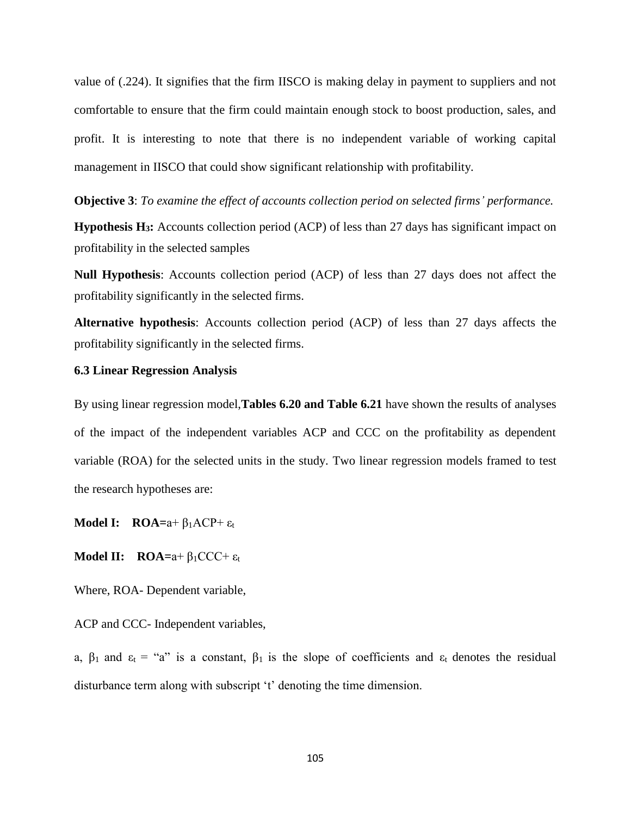value of (.224). It signifies that the firm IISCO is making delay in payment to suppliers and not comfortable to ensure that the firm could maintain enough stock to boost production, sales, and profit. It is interesting to note that there is no independent variable of working capital management in IISCO that could show significant relationship with profitability.

**Objective 3**: *To examine the effect of accounts collection period on selected firms' performance.* 

**Hypothesis H3:** Accounts collection period (ACP) of less than 27 days has significant impact on profitability in the selected samples

**Null Hypothesis**: Accounts collection period (ACP) of less than 27 days does not affect the profitability significantly in the selected firms.

**Alternative hypothesis**: Accounts collection period (ACP) of less than 27 days affects the profitability significantly in the selected firms.

# **6.3 Linear Regression Analysis**

By using linear regression model,**Tables 6.20 and Table 6.21** have shown the results of analyses of the impact of the independent variables ACP and CCC on the profitability as dependent variable (ROA) for the selected units in the study. Two linear regression models framed to test the research hypotheses are:

**Model I: ROA=**a+ β1ACP+ ε<sup>t</sup>

**Model II: ROA=**a+ β1CCC+ ε<sup>t</sup>

Where, ROA- Dependent variable,

ACP and CCC- Independent variables,

a,  $\beta_1$  and  $\varepsilon_t$  = "a" is a constant,  $\beta_1$  is the slope of coefficients and  $\varepsilon_t$  denotes the residual disturbance term along with subscript 't' denoting the time dimension.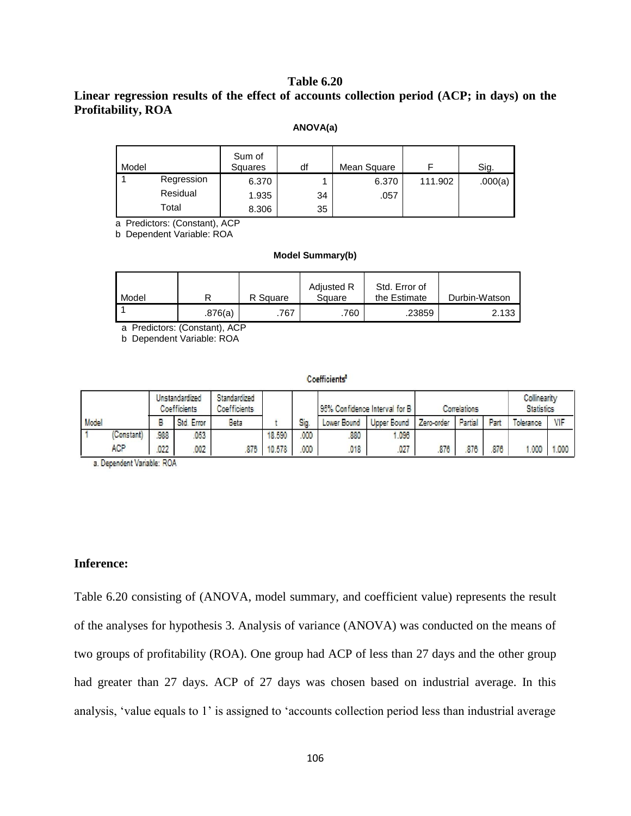# **Linear regression results of the effect of accounts collection period (ACP; in days) on the Profitability, ROA**

#### **ANOVA(a)**

| Model |            | Sum of<br>Squares | df | Mean Square |         | Sig.    |
|-------|------------|-------------------|----|-------------|---------|---------|
|       | Regression | 6.370             |    | 6.370       | 111.902 | .000(a) |
|       | Residual   | 1.935             | 34 | .057        |         |         |
|       | Total      | 8.306             | 35 |             |         |         |

a Predictors: (Constant), ACP

b Dependent Variable: ROA

#### **Model Summary(b)**

| Model |         | R Square | Adjusted R<br>Square | Std. Error of<br>the Estimate | Durbin-Watson |
|-------|---------|----------|----------------------|-------------------------------|---------------|
|       | .876(a) | .767     | .760                 | .23859                        | 2.133         |

a Predictors: (Constant), ACP

b Dependent Variable: ROA

#### **Coefficients**

|       |           | Unstandardized<br><b>Coefficients</b> |            | Standardized<br><b>Coefficients</b> |        |      | 95% Confidence Interval for B |                    | Correlations |         |      | Collinearity<br><b>Statistics</b> |       |
|-------|-----------|---------------------------------------|------------|-------------------------------------|--------|------|-------------------------------|--------------------|--------------|---------|------|-----------------------------------|-------|
| Model |           |                                       | Std. Error | Beta                                |        | Sig. | Lower Bound                   | <b>Upper Bound</b> | Zero-order   | Partial | Part | olerance                          | VIF   |
|       | Constant) | 988                                   | 053        |                                     | 18.590 | (00) | 880                           | 1.096              |              |         |      |                                   |       |
|       | AGP.      | 022                                   | 002        | 876                                 | 10.578 | 000  | 018                           | 027                | 876          | 876     | 876  | 1.000                             | 1,000 |

a. Dependent Variable: ROA

### **Inference:**

Table 6.20 consisting of (ANOVA, model summary, and coefficient value) represents the result of the analyses for hypothesis 3. Analysis of variance (ANOVA) was conducted on the means of two groups of profitability (ROA). One group had ACP of less than 27 days and the other group had greater than 27 days. ACP of 27 days was chosen based on industrial average. In this analysis, 'value equals to 1' is assigned to 'accounts collection period less than industrial average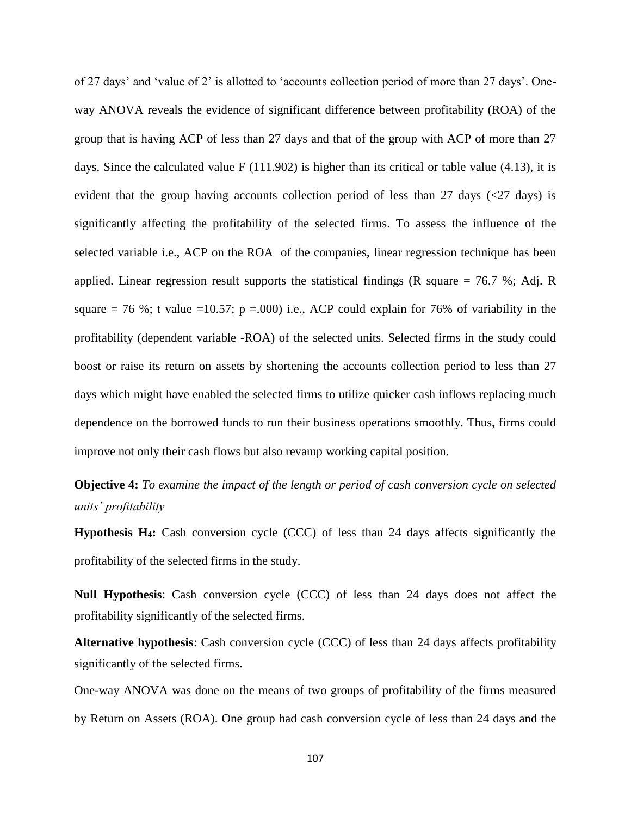of 27 days' and 'value of 2' is allotted to 'accounts collection period of more than 27 days'. Oneway ANOVA reveals the evidence of significant difference between profitability (ROA) of the group that is having ACP of less than 27 days and that of the group with ACP of more than 27 days. Since the calculated value F (111.902) is higher than its critical or table value (4.13), it is evident that the group having accounts collection period of less than 27 days ( $\langle 27 \rangle$  days) is significantly affecting the profitability of the selected firms. To assess the influence of the selected variable i.e., ACP on the ROA of the companies, linear regression technique has been applied. Linear regression result supports the statistical findings (R square  $= 76.7$  %; Adj. R square  $= 76$  %; t value  $=10.57$ ; p  $= .000$ ) i.e., ACP could explain for 76% of variability in the profitability (dependent variable -ROA) of the selected units. Selected firms in the study could boost or raise its return on assets by shortening the accounts collection period to less than 27 days which might have enabled the selected firms to utilize quicker cash inflows replacing much dependence on the borrowed funds to run their business operations smoothly. Thus, firms could improve not only their cash flows but also revamp working capital position.

**Objective 4:** *To examine the impact of the length or period of cash conversion cycle on selected units' profitability*

**Hypothesis H4:** Cash conversion cycle (CCC) of less than 24 days affects significantly the profitability of the selected firms in the study.

**Null Hypothesis**: Cash conversion cycle (CCC) of less than 24 days does not affect the profitability significantly of the selected firms.

**Alternative hypothesis**: Cash conversion cycle (CCC) of less than 24 days affects profitability significantly of the selected firms.

One-way ANOVA was done on the means of two groups of profitability of the firms measured by Return on Assets (ROA). One group had cash conversion cycle of less than 24 days and the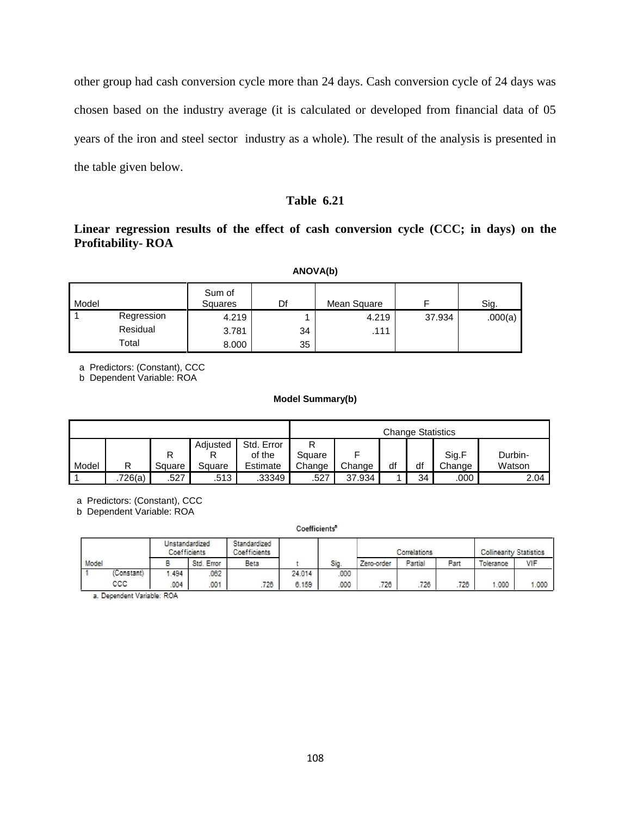other group had cash conversion cycle more than 24 days. Cash conversion cycle of 24 days was chosen based on the industry average (it is calculated or developed from financial data of 05 years of the iron and steel sector industry as a whole). The result of the analysis is presented in the table given below.

# **Table 6.21**

# **Linear regression results of the effect of cash conversion cycle (CCC; in days) on the Profitability- ROA**

| Model |            | Sum of<br><b>Squares</b> | Df | Mean Square |        | Sig.    |
|-------|------------|--------------------------|----|-------------|--------|---------|
|       | Regression | 4.219                    |    | 4.219       | 37.934 | .000(a) |
|       | Residual   | 3.781                    | 34 | .111        |        |         |
|       | Total      | 8.000                    | 35 |             |        |         |

a Predictors: (Constant), CCC

b Dependent Variable: ROA

#### **Model Summary(b)**

|       |         | <b>Change Statistics</b> |          |            |        |        |    |    |        |         |
|-------|---------|--------------------------|----------|------------|--------|--------|----|----|--------|---------|
|       |         |                          | Adiusted | Std. Error | R      |        |    |    |        |         |
|       |         |                          |          | of the     | Square |        |    |    | Sig.F  | Durbin- |
| Model | R       | Square                   | Sauare   | Estimate   | Change | Change | df | df | Change | Watson  |
|       | .726(a) | .527                     | .513     | .33349     | .527   | 37.934 |    | 34 | .000   | 2.04    |

a Predictors: (Constant), CCC

b Dependent Variable: ROA

#### Coefficients<sup>a</sup>

|       |            | Unstandardized<br>Coefficients |            | Standardized<br><b>Coefficients</b> |           |     | Correlations |         | <b>Collinearity Statistics</b> |           |       |
|-------|------------|--------------------------------|------------|-------------------------------------|-----------|-----|--------------|---------|--------------------------------|-----------|-------|
| Model |            |                                | Std. Error | Beta                                |           | Sig | Zero-order   | Partial | Part                           | Tolerance | VIF   |
|       | (Constant) | 1.494                          | 062        |                                     | 24 014    | 000 |              |         |                                |           |       |
|       | coc        | 004                            | 001        | 726                                 | 159<br>6. | 000 | 728          | 726     | 726                            | 1.000     | 1.000 |

a. Dependent Variable: ROA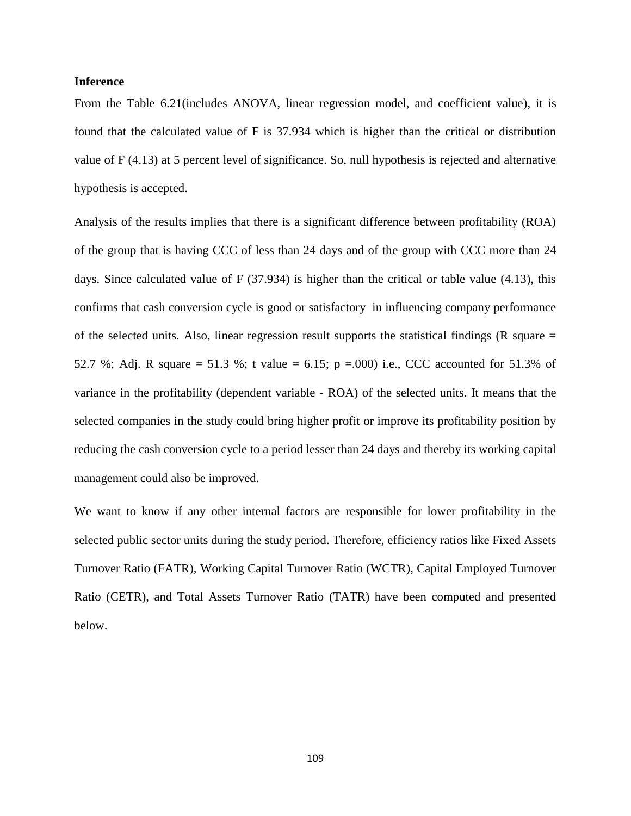### **Inference**

From the Table 6.21(includes ANOVA, linear regression model, and coefficient value), it is found that the calculated value of F is 37.934 which is higher than the critical or distribution value of F (4.13) at 5 percent level of significance. So, null hypothesis is rejected and alternative hypothesis is accepted.

Analysis of the results implies that there is a significant difference between profitability (ROA) of the group that is having CCC of less than 24 days and of the group with CCC more than 24 days. Since calculated value of F (37.934) is higher than the critical or table value (4.13), this confirms that cash conversion cycle is good or satisfactory in influencing company performance of the selected units. Also, linear regression result supports the statistical findings ( $R$  square  $=$ 52.7 %; Adj. R square = 51.3 %; t value = 6.15; p = 0.00) i.e., CCC accounted for 51.3% of variance in the profitability (dependent variable - ROA) of the selected units. It means that the selected companies in the study could bring higher profit or improve its profitability position by reducing the cash conversion cycle to a period lesser than 24 days and thereby its working capital management could also be improved.

We want to know if any other internal factors are responsible for lower profitability in the selected public sector units during the study period. Therefore, efficiency ratios like Fixed Assets Turnover Ratio (FATR), Working Capital Turnover Ratio (WCTR), Capital Employed Turnover Ratio (CETR), and Total Assets Turnover Ratio (TATR) have been computed and presented below.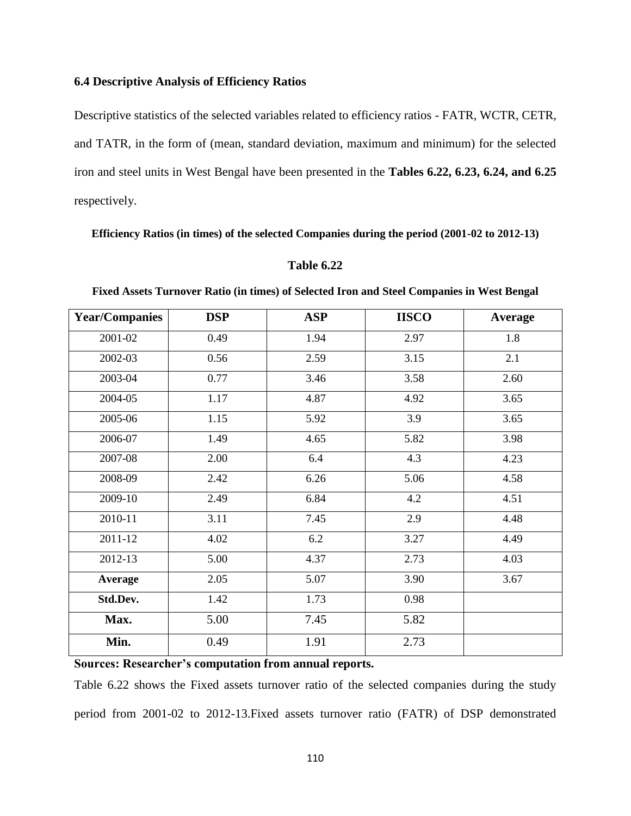### **6.4 Descriptive Analysis of Efficiency Ratios**

Descriptive statistics of the selected variables related to efficiency ratios - FATR, WCTR, CETR, and TATR, in the form of (mean, standard deviation, maximum and minimum) for the selected iron and steel units in West Bengal have been presented in the **Tables 6.22, 6.23, 6.24, and 6.25**  respectively.

**Efficiency Ratios (in times) of the selected Companies during the period (2001-02 to 2012-13)**

#### **Table 6.22**

| <b>Year/Companies</b> | <b>DSP</b> | <b>ASP</b> | <b>IISCO</b> | <b>Average</b> |
|-----------------------|------------|------------|--------------|----------------|
| 2001-02               | 0.49       | 1.94       | 2.97         | 1.8            |
| 2002-03               | 0.56       | 2.59       | 3.15         | 2.1            |
| 2003-04               | 0.77       | 3.46       | 3.58         | 2.60           |
| 2004-05               | 1.17       | 4.87       | 4.92         | 3.65           |
| 2005-06               | 1.15       | 5.92       | 3.9          | 3.65           |
| 2006-07               | 1.49       | 4.65       | 5.82         | 3.98           |
| 2007-08               | 2.00       | 6.4        | 4.3          | 4.23           |
| 2008-09               | 2.42       | 6.26       | 5.06         | 4.58           |
| 2009-10               | 2.49       | 6.84       | 4.2          | 4.51           |
| 2010-11               | 3.11       | 7.45       | 2.9          | 4.48           |
| 2011-12               | 4.02       | 6.2        | 3.27         | 4.49           |
| 2012-13               | 5.00       | 4.37       | 2.73         | 4.03           |
| <b>Average</b>        | 2.05       | 5.07       | 3.90         | 3.67           |
| Std.Dev.              | 1.42       | 1.73       | 0.98         |                |
| Max.                  | 5.00       | 7.45       | 5.82         |                |
| Min.                  | 0.49       | 1.91       | 2.73         |                |

**Fixed Assets Turnover Ratio (in times) of Selected Iron and Steel Companies in West Bengal**

**Sources: Researcher's computation from annual reports.**

Table 6.22 shows the Fixed assets turnover ratio of the selected companies during the study period from 2001-02 to 2012-13.Fixed assets turnover ratio (FATR) of DSP demonstrated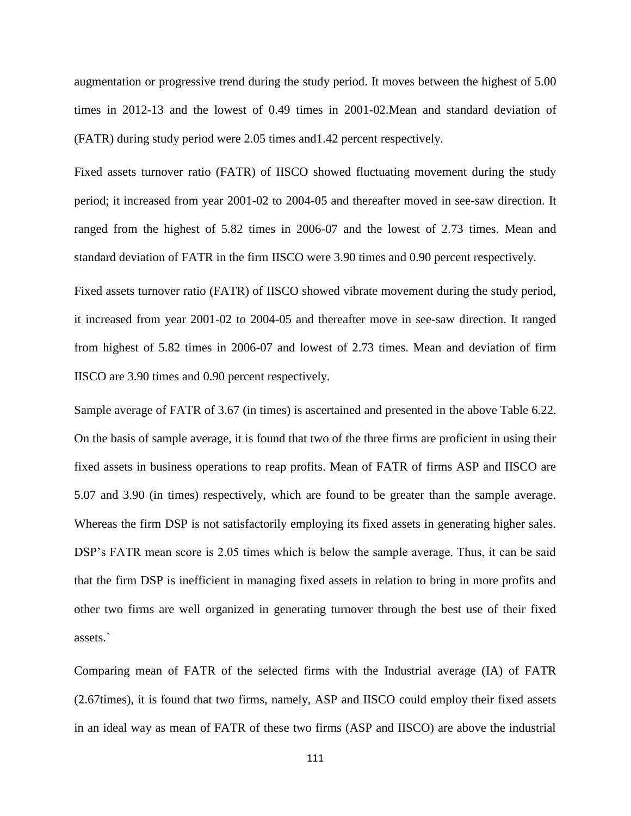augmentation or progressive trend during the study period. It moves between the highest of 5.00 times in 2012-13 and the lowest of 0.49 times in 2001-02.Mean and standard deviation of (FATR) during study period were 2.05 times and1.42 percent respectively.

Fixed assets turnover ratio (FATR) of IISCO showed fluctuating movement during the study period; it increased from year 2001-02 to 2004-05 and thereafter moved in see-saw direction. It ranged from the highest of 5.82 times in 2006-07 and the lowest of 2.73 times. Mean and standard deviation of FATR in the firm IISCO were 3.90 times and 0.90 percent respectively.

Fixed assets turnover ratio (FATR) of IISCO showed vibrate movement during the study period, it increased from year 2001-02 to 2004-05 and thereafter move in see-saw direction. It ranged from highest of 5.82 times in 2006-07 and lowest of 2.73 times. Mean and deviation of firm IISCO are 3.90 times and 0.90 percent respectively.

Sample average of FATR of 3.67 (in times) is ascertained and presented in the above Table 6.22. On the basis of sample average, it is found that two of the three firms are proficient in using their fixed assets in business operations to reap profits. Mean of FATR of firms ASP and IISCO are 5.07 and 3.90 (in times) respectively, which are found to be greater than the sample average. Whereas the firm DSP is not satisfactorily employing its fixed assets in generating higher sales. DSP's FATR mean score is 2.05 times which is below the sample average. Thus, it can be said that the firm DSP is inefficient in managing fixed assets in relation to bring in more profits and other two firms are well organized in generating turnover through the best use of their fixed assets.`

Comparing mean of FATR of the selected firms with the Industrial average (IA) of FATR (2.67times), it is found that two firms, namely, ASP and IISCO could employ their fixed assets in an ideal way as mean of FATR of these two firms (ASP and IISCO) are above the industrial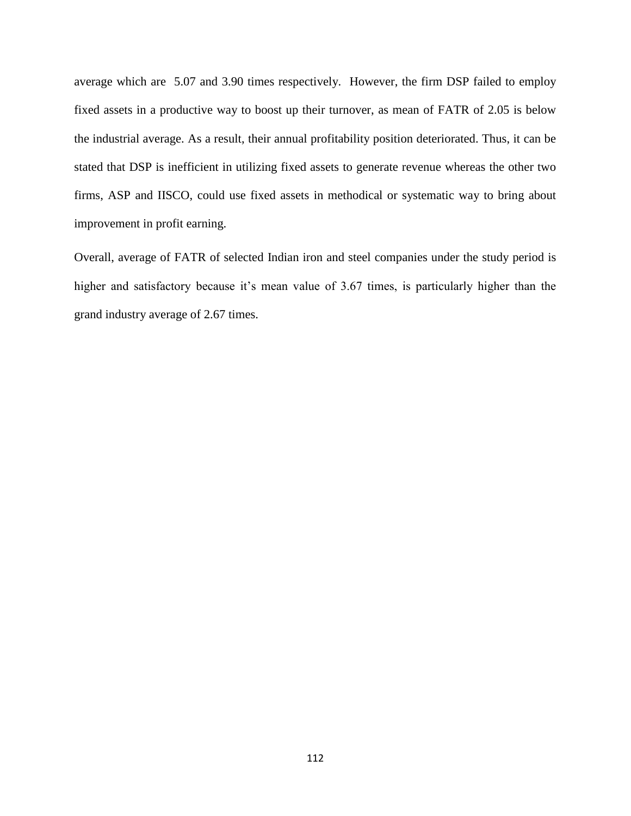average which are 5.07 and 3.90 times respectively. However, the firm DSP failed to employ fixed assets in a productive way to boost up their turnover, as mean of FATR of 2.05 is below the industrial average. As a result, their annual profitability position deteriorated. Thus, it can be stated that DSP is inefficient in utilizing fixed assets to generate revenue whereas the other two firms, ASP and IISCO, could use fixed assets in methodical or systematic way to bring about improvement in profit earning.

Overall, average of FATR of selected Indian iron and steel companies under the study period is higher and satisfactory because it's mean value of 3.67 times, is particularly higher than the grand industry average of 2.67 times.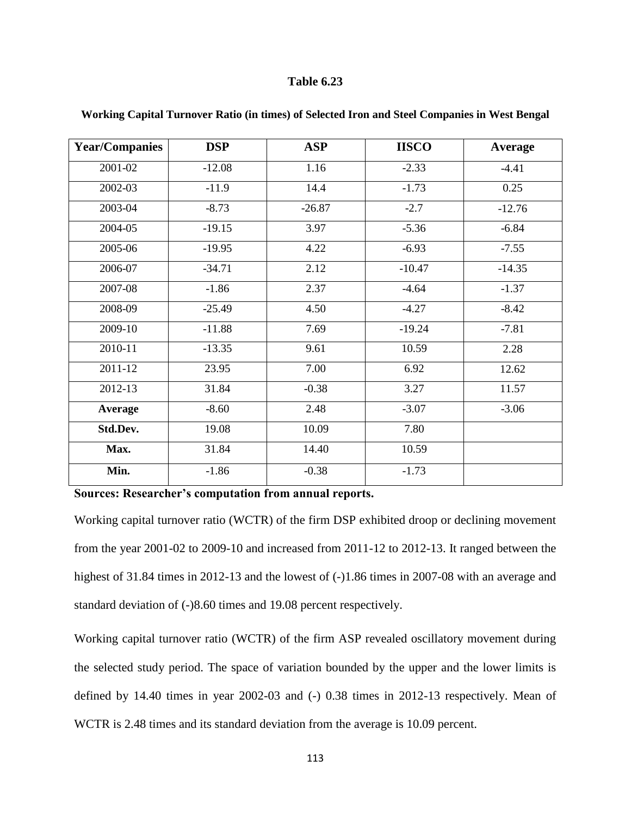| <b>Year/Companies</b> | <b>DSP</b> | <b>ASP</b> | <b>IISCO</b> | <b>Average</b> |
|-----------------------|------------|------------|--------------|----------------|
| 2001-02               | $-12.08$   | 1.16       | $-2.33$      | $-4.41$        |
| 2002-03               | $-11.9$    | 14.4       | $-1.73$      | 0.25           |
| 2003-04               | $-8.73$    | $-26.87$   | $-2.7$       | $-12.76$       |
| 2004-05               | $-19.15$   | 3.97       | $-5.36$      | $-6.84$        |
| 2005-06               | $-19.95$   | 4.22       | $-6.93$      | $-7.55$        |
| 2006-07               | $-34.71$   | 2.12       | $-10.47$     | $-14.35$       |
| 2007-08               | $-1.86$    | 2.37       | $-4.64$      | $-1.37$        |
| 2008-09               | $-25.49$   | 4.50       | $-4.27$      | $-8.42$        |
| 2009-10               | $-11.88$   | 7.69       | $-19.24$     | $-7.81$        |
| 2010-11               | $-13.35$   | 9.61       | 10.59        | 2.28           |
| 2011-12               | 23.95      | 7.00       | 6.92         | 12.62          |
| 2012-13               | 31.84      | $-0.38$    | 3.27         | 11.57          |
| <b>Average</b>        | $-8.60$    | 2.48       | $-3.07$      | $-3.06$        |
| Std.Dev.              | 19.08      | 10.09      | 7.80         |                |
| Max.                  | 31.84      | 14.40      | 10.59        |                |
| Min.                  | $-1.86$    | $-0.38$    | $-1.73$      |                |

### **Working Capital Turnover Ratio (in times) of Selected Iron and Steel Companies in West Bengal**

**Sources: Researcher's computation from annual reports.**

Working capital turnover ratio (WCTR) of the firm DSP exhibited droop or declining movement from the year 2001-02 to 2009-10 and increased from 2011-12 to 2012-13. It ranged between the highest of 31.84 times in 2012-13 and the lowest of  $(-)1.86$  times in 2007-08 with an average and standard deviation of (-)8.60 times and 19.08 percent respectively.

Working capital turnover ratio (WCTR) of the firm ASP revealed oscillatory movement during the selected study period. The space of variation bounded by the upper and the lower limits is defined by 14.40 times in year 2002-03 and (-) 0.38 times in 2012-13 respectively. Mean of WCTR is 2.48 times and its standard deviation from the average is 10.09 percent.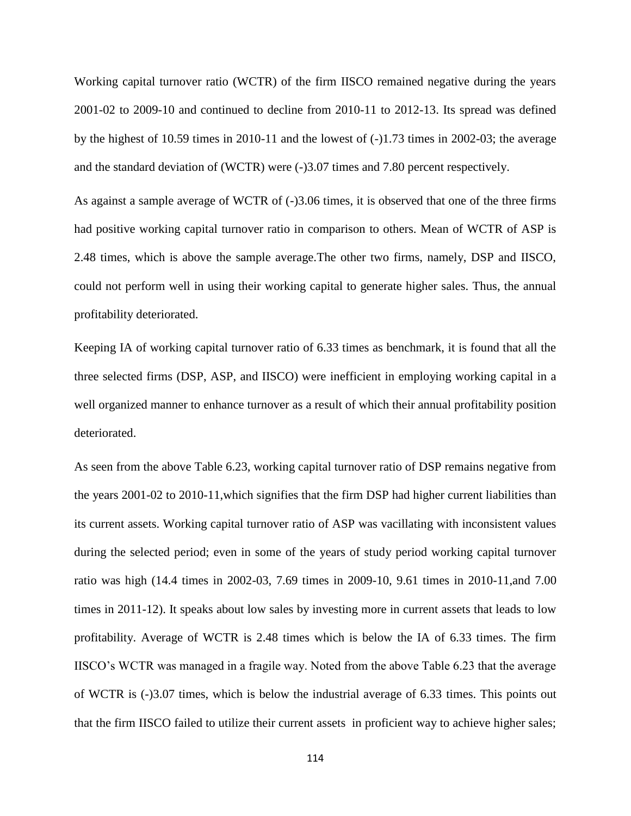Working capital turnover ratio (WCTR) of the firm IISCO remained negative during the years 2001-02 to 2009-10 and continued to decline from 2010-11 to 2012-13. Its spread was defined by the highest of 10.59 times in 2010-11 and the lowest of  $(-1.73)$  times in 2002-03; the average and the standard deviation of (WCTR) were (-)3.07 times and 7.80 percent respectively.

As against a sample average of WCTR of  $(-)3.06$  times, it is observed that one of the three firms had positive working capital turnover ratio in comparison to others. Mean of WCTR of ASP is 2.48 times, which is above the sample average.The other two firms, namely, DSP and IISCO, could not perform well in using their working capital to generate higher sales. Thus, the annual profitability deteriorated.

Keeping IA of working capital turnover ratio of 6.33 times as benchmark, it is found that all the three selected firms (DSP, ASP, and IISCO) were inefficient in employing working capital in a well organized manner to enhance turnover as a result of which their annual profitability position deteriorated.

As seen from the above Table 6.23, working capital turnover ratio of DSP remains negative from the years 2001-02 to 2010-11,which signifies that the firm DSP had higher current liabilities than its current assets. Working capital turnover ratio of ASP was vacillating with inconsistent values during the selected period; even in some of the years of study period working capital turnover ratio was high (14.4 times in 2002-03, 7.69 times in 2009-10, 9.61 times in 2010-11,and 7.00 times in 2011-12). It speaks about low sales by investing more in current assets that leads to low profitability. Average of WCTR is 2.48 times which is below the IA of 6.33 times. The firm IISCO's WCTR was managed in a fragile way. Noted from the above Table 6.23 that the average of WCTR is (-)3.07 times, which is below the industrial average of 6.33 times. This points out that the firm IISCO failed to utilize their current assets in proficient way to achieve higher sales;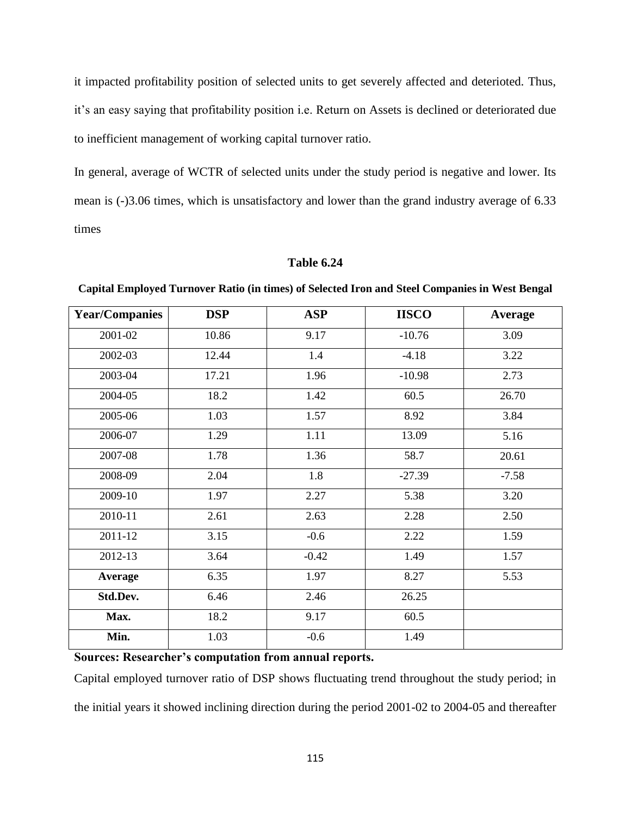it impacted profitability position of selected units to get severely affected and deterioted. Thus, it's an easy saying that profitability position i.e. Return on Assets is declined or deteriorated due to inefficient management of working capital turnover ratio.

In general, average of WCTR of selected units under the study period is negative and lower. Its mean is (-)3.06 times, which is unsatisfactory and lower than the grand industry average of 6.33 times

| <b>Year/Companies</b> | <b>DSP</b> | <b>ASP</b> | <b>IISCO</b> | Average |
|-----------------------|------------|------------|--------------|---------|
| 2001-02               | 10.86      | 9.17       | $-10.76$     | 3.09    |
| 2002-03               | 12.44      | 1.4        | $-4.18$      | 3.22    |
| 2003-04               | 17.21      | 1.96       | $-10.98$     | 2.73    |
| 2004-05               | 18.2       | 1.42       | 60.5         | 26.70   |
| 2005-06               | 1.03       | 1.57       | 8.92         | 3.84    |
| 2006-07               | 1.29       | 1.11       | 13.09        | 5.16    |
| 2007-08               | 1.78       | 1.36       | 58.7         | 20.61   |
| 2008-09               | 2.04       | 1.8        | $-27.39$     | $-7.58$ |
| 2009-10               | 1.97       | 2.27       | 5.38         | 3.20    |
| 2010-11               | 2.61       | 2.63       | 2.28         | 2.50    |
| 2011-12               | 3.15       | $-0.6$     | 2.22         | 1.59    |
| 2012-13               | 3.64       | $-0.42$    | 1.49         | 1.57    |
| Average               | 6.35       | 1.97       | 8.27         | 5.53    |
| Std.Dev.              | 6.46       | 2.46       | 26.25        |         |
| Max.                  | 18.2       | 9.17       | 60.5         |         |
| Min.                  | 1.03       | $-0.6$     | 1.49         |         |

### **Table 6.24**

**Capital Employed Turnover Ratio (in times) of Selected Iron and Steel Companies in West Bengal**

**Sources: Researcher's computation from annual reports.**

Capital employed turnover ratio of DSP shows fluctuating trend throughout the study period; in the initial years it showed inclining direction during the period 2001-02 to 2004-05 and thereafter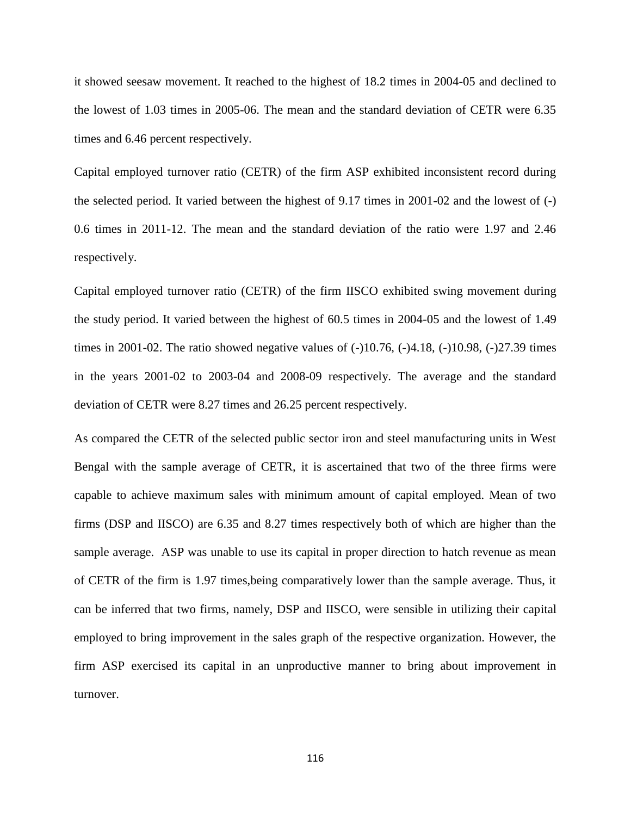it showed seesaw movement. It reached to the highest of 18.2 times in 2004-05 and declined to the lowest of 1.03 times in 2005-06. The mean and the standard deviation of CETR were 6.35 times and 6.46 percent respectively.

Capital employed turnover ratio (CETR) of the firm ASP exhibited inconsistent record during the selected period. It varied between the highest of 9.17 times in 2001-02 and the lowest of (-) 0.6 times in 2011-12. The mean and the standard deviation of the ratio were 1.97 and 2.46 respectively.

Capital employed turnover ratio (CETR) of the firm IISCO exhibited swing movement during the study period. It varied between the highest of 60.5 times in 2004-05 and the lowest of 1.49 times in 2001-02. The ratio showed negative values of  $(-10.76, (-)4.18, (-)10.98, (-)27.39$  times in the years 2001-02 to 2003-04 and 2008-09 respectively. The average and the standard deviation of CETR were 8.27 times and 26.25 percent respectively.

As compared the CETR of the selected public sector iron and steel manufacturing units in West Bengal with the sample average of CETR, it is ascertained that two of the three firms were capable to achieve maximum sales with minimum amount of capital employed. Mean of two firms (DSP and IISCO) are 6.35 and 8.27 times respectively both of which are higher than the sample average. ASP was unable to use its capital in proper direction to hatch revenue as mean of CETR of the firm is 1.97 times,being comparatively lower than the sample average. Thus, it can be inferred that two firms, namely, DSP and IISCO, were sensible in utilizing their capital employed to bring improvement in the sales graph of the respective organization. However, the firm ASP exercised its capital in an unproductive manner to bring about improvement in turnover.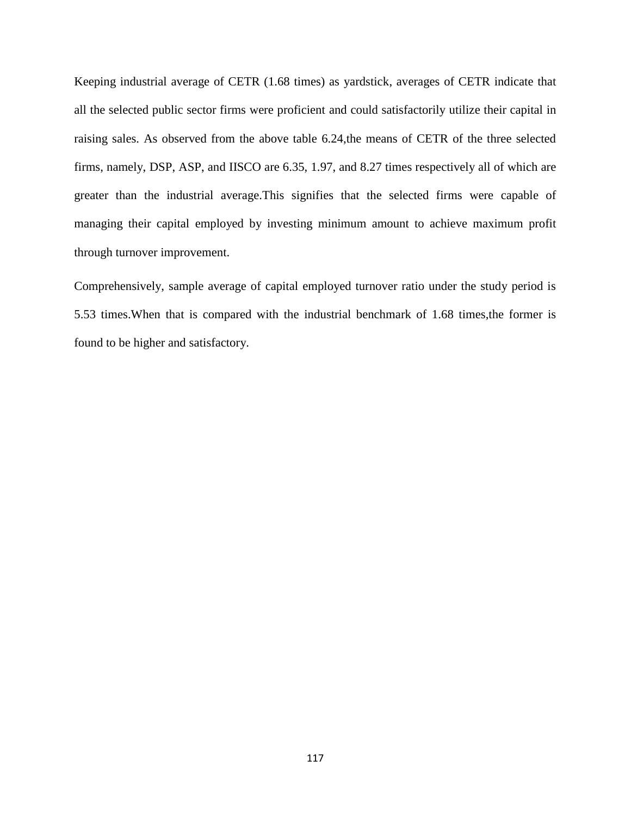Keeping industrial average of CETR (1.68 times) as yardstick, averages of CETR indicate that all the selected public sector firms were proficient and could satisfactorily utilize their capital in raising sales. As observed from the above table 6.24,the means of CETR of the three selected firms, namely, DSP, ASP, and IISCO are 6.35, 1.97, and 8.27 times respectively all of which are greater than the industrial average.This signifies that the selected firms were capable of managing their capital employed by investing minimum amount to achieve maximum profit through turnover improvement.

Comprehensively, sample average of capital employed turnover ratio under the study period is 5.53 times.When that is compared with the industrial benchmark of 1.68 times,the former is found to be higher and satisfactory.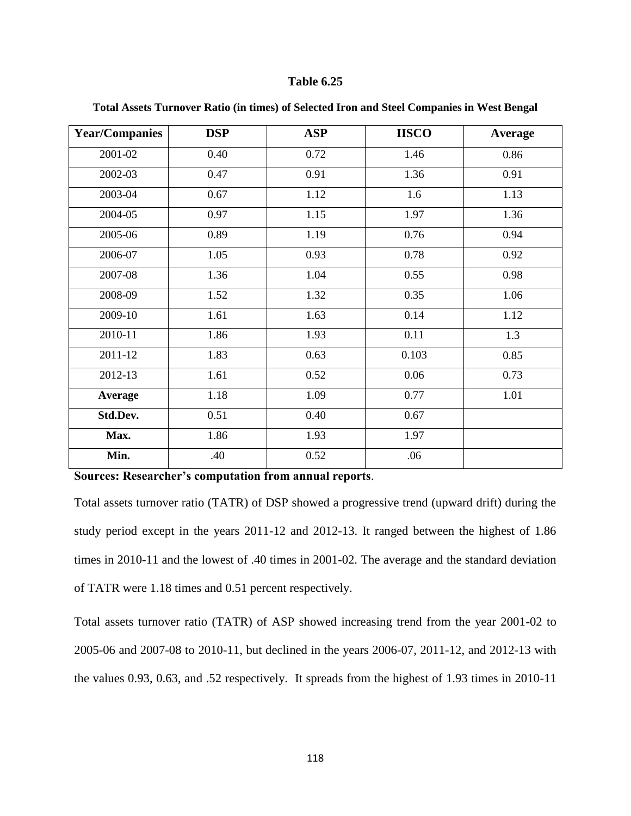| <b>Year/Companies</b> | <b>DSP</b> | <b>ASP</b> | <b>IISCO</b> | <b>Average</b> |
|-----------------------|------------|------------|--------------|----------------|
| 2001-02               | 0.40       | 0.72       | 1.46         | 0.86           |
| 2002-03               | 0.47       | 0.91       | 1.36         | 0.91           |
| 2003-04               | 0.67       | 1.12       | 1.6          | 1.13           |
| 2004-05               | 0.97       | 1.15       | 1.97         | 1.36           |
| 2005-06               | 0.89       | 1.19       | 0.76         | 0.94           |
| 2006-07               | 1.05       | 0.93       | 0.78         | 0.92           |
| 2007-08               | 1.36       | 1.04       | 0.55         | 0.98           |
| 2008-09               | 1.52       | 1.32       | 0.35         | 1.06           |
| 2009-10               | 1.61       | 1.63       | 0.14         | 1.12           |
| 2010-11               | 1.86       | 1.93       | 0.11         | 1.3            |
| 2011-12               | 1.83       | 0.63       | 0.103        | 0.85           |
| 2012-13               | 1.61       | 0.52       | 0.06         | 0.73           |
| <b>Average</b>        | 1.18       | 1.09       | 0.77         | 1.01           |
| Std.Dev.              | 0.51       | 0.40       | 0.67         |                |
| Max.                  | 1.86       | 1.93       | 1.97         |                |
| Min.                  | .40        | 0.52       | .06          |                |

**Total Assets Turnover Ratio (in times) of Selected Iron and Steel Companies in West Bengal**

**Sources: Researcher's computation from annual reports**.

Total assets turnover ratio (TATR) of DSP showed a progressive trend (upward drift) during the study period except in the years 2011-12 and 2012-13. It ranged between the highest of 1.86 times in 2010-11 and the lowest of .40 times in 2001-02. The average and the standard deviation of TATR were 1.18 times and 0.51 percent respectively.

Total assets turnover ratio (TATR) of ASP showed increasing trend from the year 2001-02 to 2005-06 and 2007-08 to 2010-11, but declined in the years 2006-07, 2011-12, and 2012-13 with the values 0.93, 0.63, and .52 respectively. It spreads from the highest of 1.93 times in 2010-11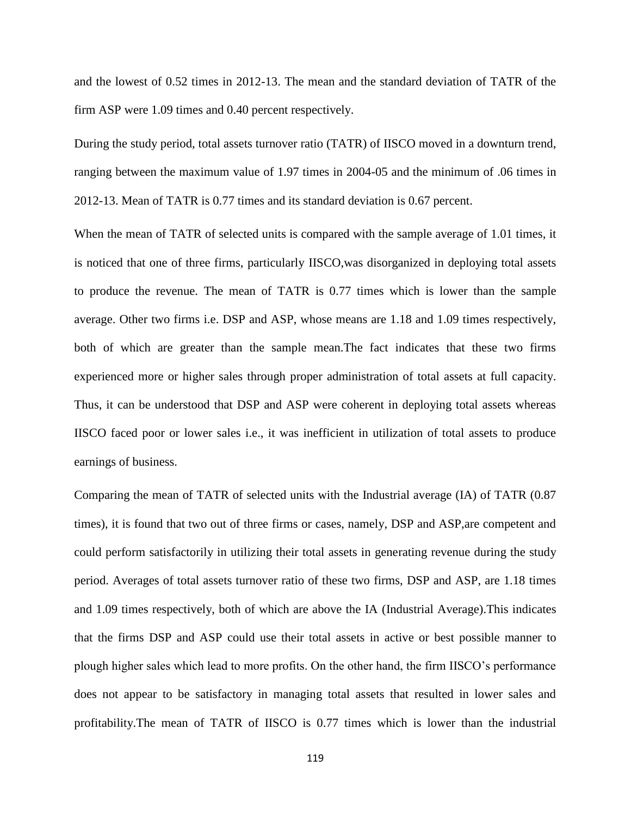and the lowest of 0.52 times in 2012-13. The mean and the standard deviation of TATR of the firm ASP were 1.09 times and 0.40 percent respectively.

During the study period, total assets turnover ratio (TATR) of IISCO moved in a downturn trend, ranging between the maximum value of 1.97 times in 2004-05 and the minimum of .06 times in 2012-13. Mean of TATR is 0.77 times and its standard deviation is 0.67 percent.

When the mean of TATR of selected units is compared with the sample average of 1.01 times, it is noticed that one of three firms, particularly IISCO,was disorganized in deploying total assets to produce the revenue. The mean of TATR is 0.77 times which is lower than the sample average. Other two firms i.e. DSP and ASP, whose means are 1.18 and 1.09 times respectively, both of which are greater than the sample mean.The fact indicates that these two firms experienced more or higher sales through proper administration of total assets at full capacity. Thus, it can be understood that DSP and ASP were coherent in deploying total assets whereas IISCO faced poor or lower sales i.e., it was inefficient in utilization of total assets to produce earnings of business.

Comparing the mean of TATR of selected units with the Industrial average (IA) of TATR (0.87 times), it is found that two out of three firms or cases, namely, DSP and ASP,are competent and could perform satisfactorily in utilizing their total assets in generating revenue during the study period. Averages of total assets turnover ratio of these two firms, DSP and ASP, are 1.18 times and 1.09 times respectively, both of which are above the IA (Industrial Average).This indicates that the firms DSP and ASP could use their total assets in active or best possible manner to plough higher sales which lead to more profits. On the other hand, the firm IISCO's performance does not appear to be satisfactory in managing total assets that resulted in lower sales and profitability.The mean of TATR of IISCO is 0.77 times which is lower than the industrial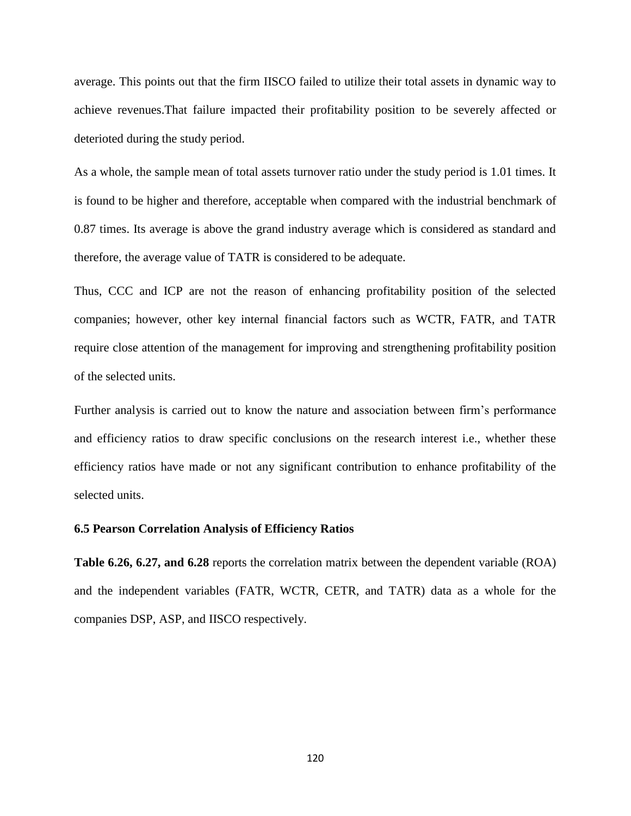average. This points out that the firm IISCO failed to utilize their total assets in dynamic way to achieve revenues.That failure impacted their profitability position to be severely affected or deterioted during the study period.

As a whole, the sample mean of total assets turnover ratio under the study period is 1.01 times. It is found to be higher and therefore, acceptable when compared with the industrial benchmark of 0.87 times. Its average is above the grand industry average which is considered as standard and therefore, the average value of TATR is considered to be adequate.

Thus, CCC and ICP are not the reason of enhancing profitability position of the selected companies; however, other key internal financial factors such as WCTR, FATR, and TATR require close attention of the management for improving and strengthening profitability position of the selected units.

Further analysis is carried out to know the nature and association between firm's performance and efficiency ratios to draw specific conclusions on the research interest i.e., whether these efficiency ratios have made or not any significant contribution to enhance profitability of the selected units.

### **6.5 Pearson Correlation Analysis of Efficiency Ratios**

**Table 6.26, 6.27, and 6.28** reports the correlation matrix between the dependent variable (ROA) and the independent variables (FATR, WCTR, CETR, and TATR) data as a whole for the companies DSP, ASP, and IISCO respectively.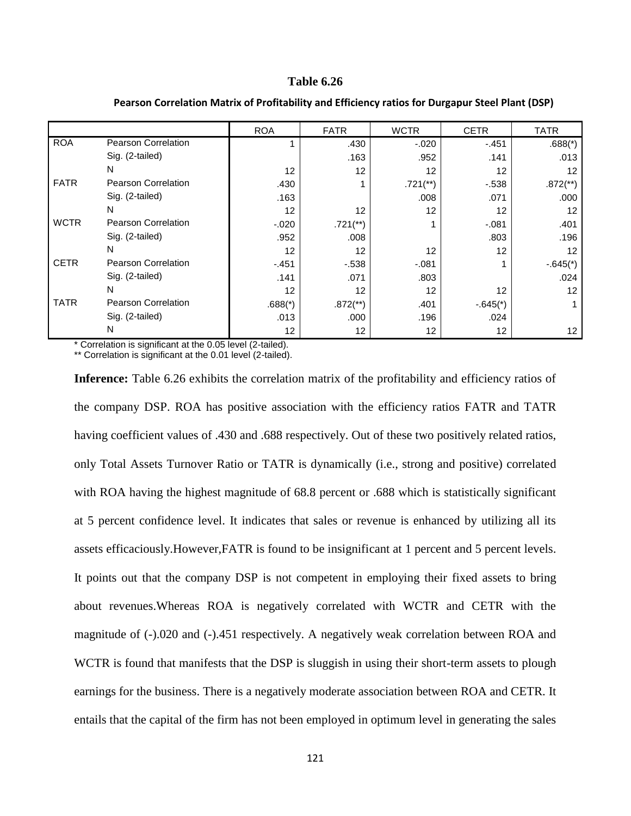|             |                            | <b>ROA</b> | <b>FATR</b>            | <b>WCTR</b>            | <b>CETR</b> | <b>TATR</b>            |
|-------------|----------------------------|------------|------------------------|------------------------|-------------|------------------------|
| <b>ROA</b>  | <b>Pearson Correlation</b> |            | .430                   | $-.020$                | $-.451$     | $.688(*)$              |
|             | Sig. (2-tailed)            |            | .163                   | .952                   | .141        | .013                   |
|             | N                          | 12         | 12                     | 12                     | 12          | $12 \overline{ }$      |
| <b>FATR</b> | <b>Pearson Correlation</b> | .430       |                        | $.721$ <sup>**</sup> ) | $-538$      | $.872$ <sup>**</sup> ) |
|             | Sig. (2-tailed)            | .163       |                        | .008                   | .071        | .000                   |
|             | N                          | 12         | 12                     | 12                     | 12          | 12                     |
| <b>WCTR</b> | <b>Pearson Correlation</b> | $-.020$    | $.721$ <sup>**</sup> ) |                        | $-.081$     | .401                   |
|             | Sig. (2-tailed)            | .952       | .008                   |                        | .803        | .196                   |
|             | N                          | 12         | 12                     | 12                     | 12          | 12 <sup>2</sup>        |
| <b>CETR</b> | <b>Pearson Correlation</b> | $-451$     | $-538$                 | $-.081$                |             | $-.645(*)$             |
|             | Sig. (2-tailed)            | .141       | .071                   | .803                   |             | .024                   |
|             | N                          | 12         | 12                     | 12                     | 12          | 12                     |
| <b>TATR</b> | <b>Pearson Correlation</b> | $.688(*)$  | $.872$ <sup>**</sup> ) | .401                   | $-.645(*)$  |                        |
|             | Sig. (2-tailed)            | .013       | .000                   | .196                   | .024        |                        |
|             | N                          | 12         | 12                     | 12 <sub>2</sub>        | 12          | 12 <sup>2</sup>        |

### **Pearson Correlation Matrix of Profitability and Efficiency ratios for Durgapur Steel Plant (DSP)**

\* Correlation is significant at the 0.05 level (2-tailed).

\*\* Correlation is significant at the 0.01 level (2-tailed).

**Inference:** Table 6.26 exhibits the correlation matrix of the profitability and efficiency ratios of the company DSP. ROA has positive association with the efficiency ratios FATR and TATR having coefficient values of .430 and .688 respectively. Out of these two positively related ratios, only Total Assets Turnover Ratio or TATR is dynamically (i.e., strong and positive) correlated with ROA having the highest magnitude of 68.8 percent or .688 which is statistically significant at 5 percent confidence level. It indicates that sales or revenue is enhanced by utilizing all its assets efficaciously.However,FATR is found to be insignificant at 1 percent and 5 percent levels. It points out that the company DSP is not competent in employing their fixed assets to bring about revenues.Whereas ROA is negatively correlated with WCTR and CETR with the magnitude of (-).020 and (-).451 respectively. A negatively weak correlation between ROA and WCTR is found that manifests that the DSP is sluggish in using their short-term assets to plough earnings for the business. There is a negatively moderate association between ROA and CETR. It entails that the capital of the firm has not been employed in optimum level in generating the sales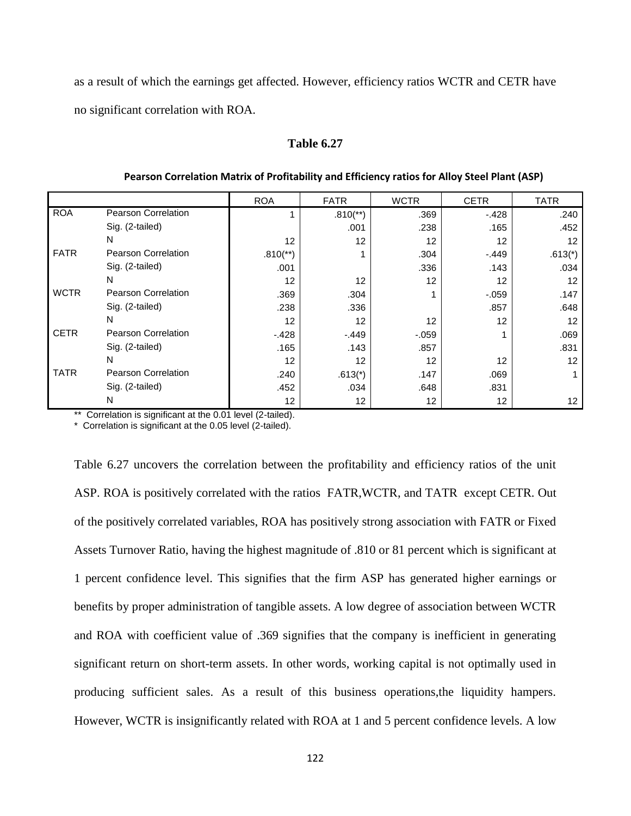as a result of which the earnings get affected. However, efficiency ratios WCTR and CETR have no significant correlation with ROA.

# **Table 6.27**

|             |                            | <b>ROA</b>             | <b>FATR</b>     | <b>WCTR</b>       | <b>CETR</b> | <b>TATR</b>       |
|-------------|----------------------------|------------------------|-----------------|-------------------|-------------|-------------------|
| <b>ROA</b>  | Pearson Correlation        |                        | $.810^{**}$     | .369              | $-.428$     | .240              |
|             | Sig. (2-tailed)            |                        | .001            | .238              | .165        | .452              |
|             | N                          | 12                     | 12              | 12                | 12          | 12                |
| <b>FATR</b> | <b>Pearson Correlation</b> | $.810$ <sup>**</sup> ) |                 | .304              | $-.449$     | $.613(*)$         |
|             | Sig. (2-tailed)            | .001                   |                 | .336              | .143        | .034              |
|             | N                          | 12                     | 12              | 12                | 12          | $12 \overline{ }$ |
| <b>WCTR</b> | <b>Pearson Correlation</b> | .369                   | .304            |                   | $-0.059$    | .147              |
|             | Sig. (2-tailed)            | .238                   | .336            |                   | .857        | .648              |
|             | N                          | 12                     | 12              | $12 \overline{ }$ | 12          | 12                |
| <b>CETR</b> | <b>Pearson Correlation</b> | $-428$                 | $-.449$         | $-0.059$          |             | .069              |
|             | Sig. (2-tailed)            | .165                   | .143            | .857              |             | .831              |
|             | N                          | 12                     | 12              | 12                | 12          | 12                |
| <b>TATR</b> | Pearson Correlation        | .240                   | $.613(*)$       | .147              | .069        | $\mathbf{1}$      |
|             | Sig. (2-tailed)            | .452                   | .034            | .648              | .831        |                   |
|             | N                          | 12                     | 12 <sup>°</sup> | 12                | 12          | 12 <sup>°</sup>   |

#### **Pearson Correlation Matrix of Profitability and Efficiency ratios for Alloy Steel Plant (ASP)**

\*\* Correlation is significant at the 0.01 level (2-tailed).

\* Correlation is significant at the 0.05 level (2-tailed).

Table 6.27 uncovers the correlation between the profitability and efficiency ratios of the unit ASP. ROA is positively correlated with the ratios FATR,WCTR, and TATR except CETR. Out of the positively correlated variables, ROA has positively strong association with FATR or Fixed Assets Turnover Ratio, having the highest magnitude of .810 or 81 percent which is significant at 1 percent confidence level. This signifies that the firm ASP has generated higher earnings or benefits by proper administration of tangible assets. A low degree of association between WCTR and ROA with coefficient value of .369 signifies that the company is inefficient in generating significant return on short-term assets. In other words, working capital is not optimally used in producing sufficient sales. As a result of this business operations,the liquidity hampers. However, WCTR is insignificantly related with ROA at 1 and 5 percent confidence levels. A low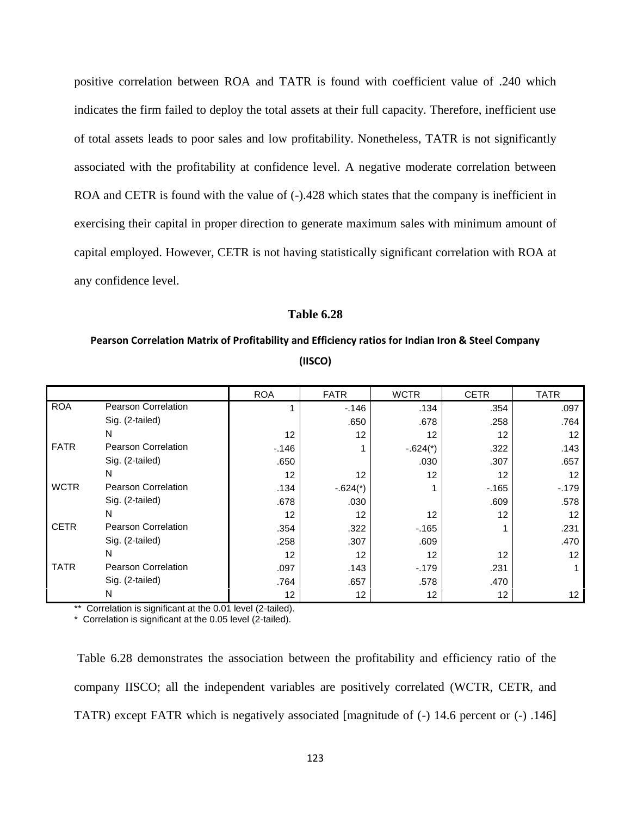positive correlation between ROA and TATR is found with coefficient value of .240 which indicates the firm failed to deploy the total assets at their full capacity. Therefore, inefficient use of total assets leads to poor sales and low profitability. Nonetheless, TATR is not significantly associated with the profitability at confidence level. A negative moderate correlation between ROA and CETR is found with the value of  $(-)$ .428 which states that the company is inefficient in exercising their capital in proper direction to generate maximum sales with minimum amount of capital employed. However, CETR is not having statistically significant correlation with ROA at any confidence level.

### **Table 6.28**

# **Pearson Correlation Matrix of Profitability and Efficiency ratios for Indian Iron & Steel Company (IISCO)**

|             |                            | <b>ROA</b>      | <b>FATR</b>     | <b>WCTR</b>     | <b>CETR</b> | <b>TATR</b> |
|-------------|----------------------------|-----------------|-----------------|-----------------|-------------|-------------|
| <b>ROA</b>  | Pearson Correlation        |                 | $-146$          | .134            | .354        | .097        |
|             | Sig. (2-tailed)            |                 | .650            | .678            | .258        | .764        |
|             | N                          | 12              | 12              | 12              | 12          | 12          |
| <b>FATR</b> | <b>Pearson Correlation</b> | $-146$          |                 | $-.624(*)$      | .322        | .143        |
|             | Sig. (2-tailed)            | .650            |                 | .030            | .307        | .657        |
|             | N                          | 12              | 12              | 12 <sup>2</sup> | 12          | 12          |
| <b>WCTR</b> | <b>Pearson Correlation</b> | .134            | $-.624(*)$      |                 | $-165$      | $-179$      |
|             | Sig. (2-tailed)            | .678            | .030            |                 | .609        | .578        |
|             | N                          | 12              | 12              | 12 <sup>2</sup> | 12          | 12          |
| <b>CETR</b> | <b>Pearson Correlation</b> | .354            | .322            | $-165$          |             | .231        |
|             | Sig. (2-tailed)            | .258            | .307            | .609            |             | .470        |
|             | N                          | 12              | 12              | 12 <sup>2</sup> | 12          | 12          |
| <b>TATR</b> | <b>Pearson Correlation</b> | .097            | .143            | $-179$          | .231        |             |
|             | Sig. (2-tailed)            | .764            | .657            | .578            | .470        |             |
|             | N                          | 12 <sup>°</sup> | 12 <sup>°</sup> | 12 <sup>°</sup> | 12          | 12          |

\*\* Correlation is significant at the 0.01 level (2-tailed).

\* Correlation is significant at the 0.05 level (2-tailed).

Table 6.28 demonstrates the association between the profitability and efficiency ratio of the company IISCO; all the independent variables are positively correlated (WCTR, CETR, and TATR) except FATR which is negatively associated [magnitude of (-) 14.6 percent or (-) .146]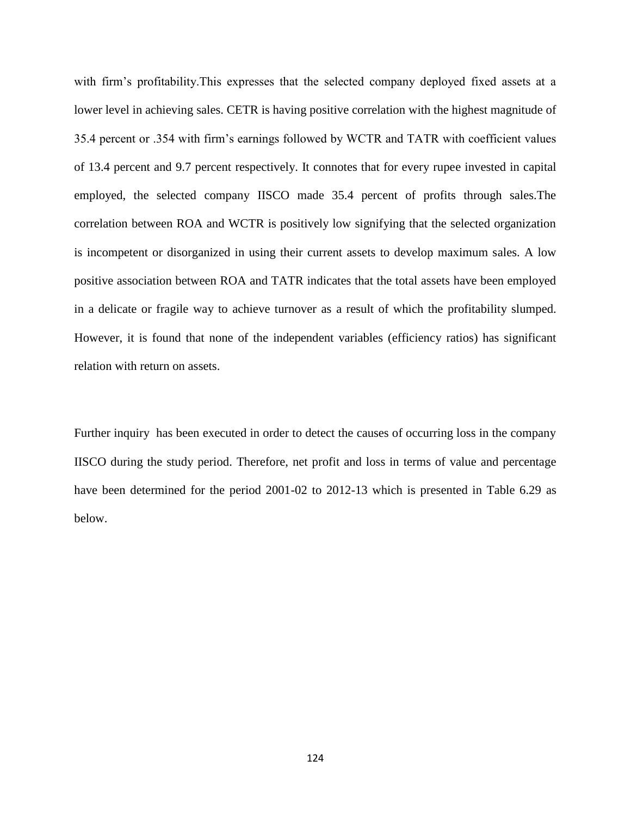with firm's profitability.This expresses that the selected company deployed fixed assets at a lower level in achieving sales. CETR is having positive correlation with the highest magnitude of 35.4 percent or .354 with firm's earnings followed by WCTR and TATR with coefficient values of 13.4 percent and 9.7 percent respectively. It connotes that for every rupee invested in capital employed, the selected company IISCO made 35.4 percent of profits through sales.The correlation between ROA and WCTR is positively low signifying that the selected organization is incompetent or disorganized in using their current assets to develop maximum sales. A low positive association between ROA and TATR indicates that the total assets have been employed in a delicate or fragile way to achieve turnover as a result of which the profitability slumped. However, it is found that none of the independent variables (efficiency ratios) has significant relation with return on assets.

Further inquiry has been executed in order to detect the causes of occurring loss in the company IISCO during the study period. Therefore, net profit and loss in terms of value and percentage have been determined for the period 2001-02 to 2012-13 which is presented in Table 6.29 as below.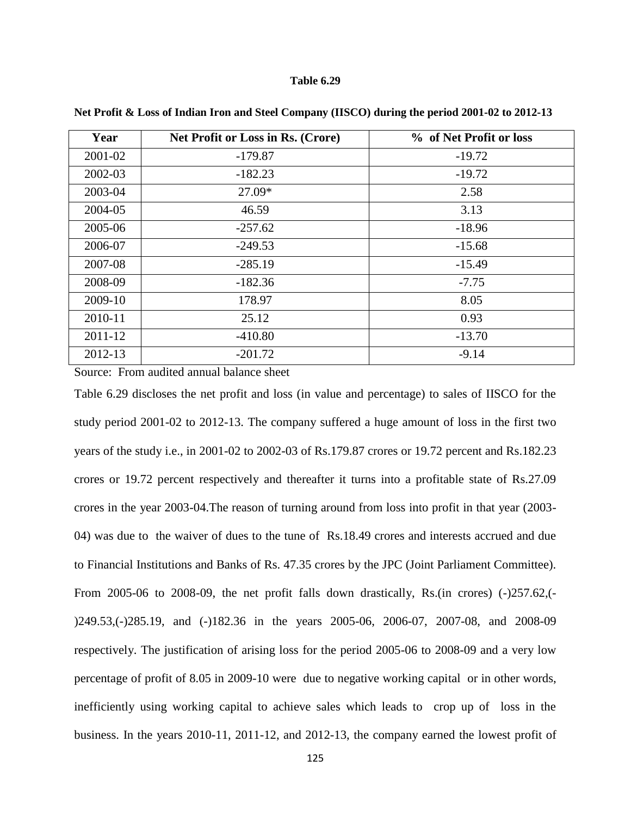| Year        | <b>Net Profit or Loss in Rs. (Crore)</b> | % of Net Profit or loss |
|-------------|------------------------------------------|-------------------------|
| 2001-02     | $-179.87$                                | $-19.72$                |
| 2002-03     | $-182.23$                                | $-19.72$                |
| 2003-04     | 27.09*                                   | 2.58                    |
| 2004-05     | 46.59                                    | 3.13                    |
| 2005-06     | $-257.62$                                | $-18.96$                |
| 2006-07     | $-249.53$                                | $-15.68$                |
| 2007-08     | $-285.19$                                | $-15.49$                |
| 2008-09     | $-182.36$                                | $-7.75$                 |
| 2009-10     | 178.97                                   | 8.05                    |
| 2010-11     | 25.12                                    | 0.93                    |
| $2011 - 12$ | $-410.80$                                | $-13.70$                |
| 2012-13     | $-201.72$                                | $-9.14$                 |

**Net Profit & Loss of Indian Iron and Steel Company (IISCO) during the period 2001-02 to 2012-13**

Source: From audited annual balance sheet

Table 6.29 discloses the net profit and loss (in value and percentage) to sales of IISCO for the study period 2001-02 to 2012-13. The company suffered a huge amount of loss in the first two years of the study i.e., in 2001-02 to 2002-03 of Rs.179.87 crores or 19.72 percent and Rs.182.23 crores or 19.72 percent respectively and thereafter it turns into a profitable state of Rs.27.09 crores in the year 2003-04.The reason of turning around from loss into profit in that year (2003- 04) was due to the waiver of dues to the tune of Rs.18.49 crores and interests accrued and due to Financial Institutions and Banks of Rs. 47.35 crores by the JPC (Joint Parliament Committee). From 2005-06 to 2008-09, the net profit falls down drastically, Rs.(in crores) (-)257.62,(-)249.53,(-)285.19, and (-)182.36 in the years 2005-06, 2006-07, 2007-08, and 2008-09 respectively. The justification of arising loss for the period 2005-06 to 2008-09 and a very low percentage of profit of 8.05 in 2009-10 were due to negative working capital or in other words, inefficiently using working capital to achieve sales which leads to crop up of loss in the business. In the years 2010-11, 2011-12, and 2012-13, the company earned the lowest profit of